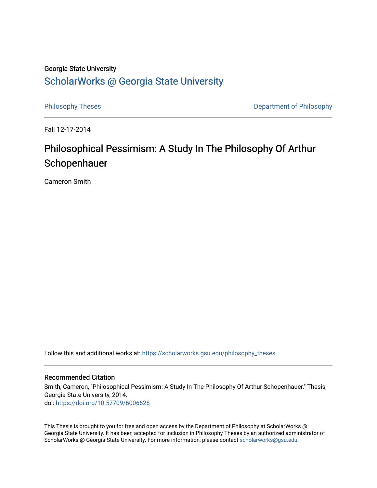### Georgia State University

## [ScholarWorks @ Georgia State University](https://scholarworks.gsu.edu/)

[Philosophy Theses](https://scholarworks.gsu.edu/philosophy_theses) **Department of Philosophy** 

Fall 12-17-2014

# Philosophical Pessimism: A Study In The Philosophy Of Arthur Schopenhauer

Cameron Smith

Follow this and additional works at: [https://scholarworks.gsu.edu/philosophy\\_theses](https://scholarworks.gsu.edu/philosophy_theses?utm_source=scholarworks.gsu.edu%2Fphilosophy_theses%2F159&utm_medium=PDF&utm_campaign=PDFCoverPages) 

#### Recommended Citation

Smith, Cameron, "Philosophical Pessimism: A Study In The Philosophy Of Arthur Schopenhauer." Thesis, Georgia State University, 2014. doi: <https://doi.org/10.57709/6006628>

This Thesis is brought to you for free and open access by the Department of Philosophy at ScholarWorks @ Georgia State University. It has been accepted for inclusion in Philosophy Theses by an authorized administrator of ScholarWorks @ Georgia State University. For more information, please contact [scholarworks@gsu.edu](mailto:scholarworks@gsu.edu).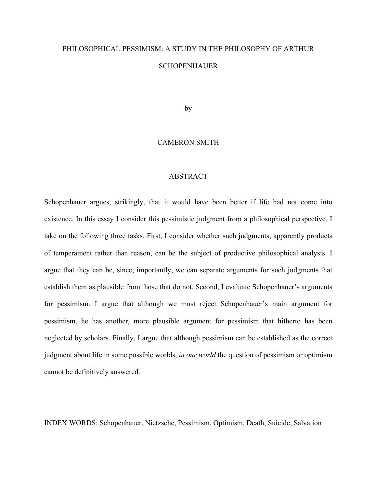# PHILOSOPHICAL PESSIMISM: A STUDY IN THE PHILOSOPHY OF ARTHUR **SCHOPENHAUER**

by

### CAMERON SMITH

### ABSTRACT

Schopenhauer argues, strikingly, that it would have been better if life had not come into existence. In this essay I consider this pessimistic judgment from a philosophical perspective. I take on the following three tasks. First, I consider whether such judgments, apparently products of temperament rather than reason, can be the subject of productive philosophical analysis. I argue that they can be, since, importantly, we can separate arguments for such judgments that establish them as plausible from those that do not. Second, I evaluate Schopenhauer's arguments for pessimism. I argue that although we must reject Schopenhauer's main argument for pessimism, he has another, more plausible argument for pessimism that hitherto has been neglected by scholars. Finally, I argue that although pessimism can be established as the correct judgment about life in some possible worlds, *in our world* the question of pessimism or optimism cannot be definitively answered.

INDEX WORDS: Schopenhauer, Nietzsche, Pessimism, Optimism, Death, Suicide, Salvation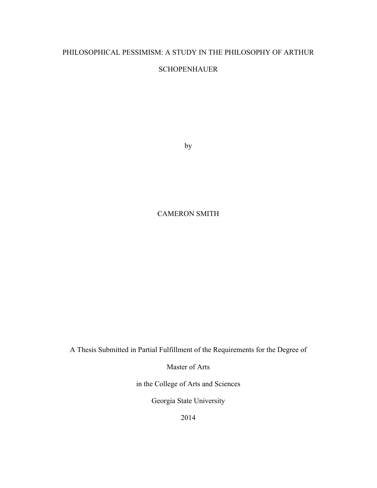### PHILOSOPHICAL PESSIMISM: A STUDY IN THE PHILOSOPHY OF ARTHUR

### **SCHOPENHAUER**

by

### CAMERON SMITH

A Thesis Submitted in Partial Fulfillment of the Requirements for the Degree of

Master of Arts

in the College of Arts and Sciences

Georgia State University

2014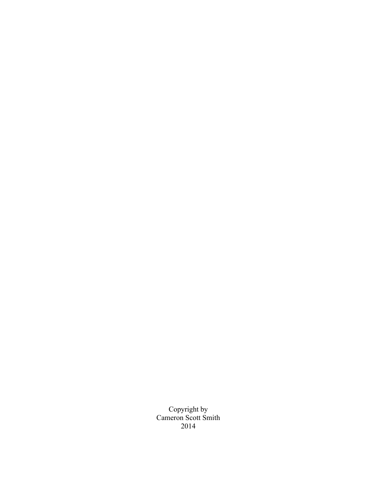Copyright by Cameron Scott Smith 2014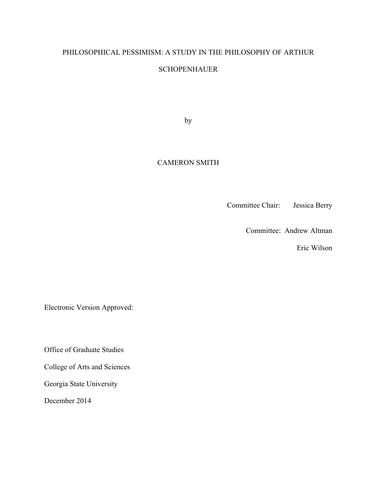# PHILOSOPHICAL PESSIMISM: A STUDY IN THE PHILOSOPHY OF ARTHUR

### **SCHOPENHAUER**

by

### CAMERON SMITH

Committee Chair: Jessica Berry

Committee: Andrew Altman

Eric Wilson

Electronic Version Approved:

Office of Graduate Studies

College of Arts and Sciences

Georgia State University

December 2014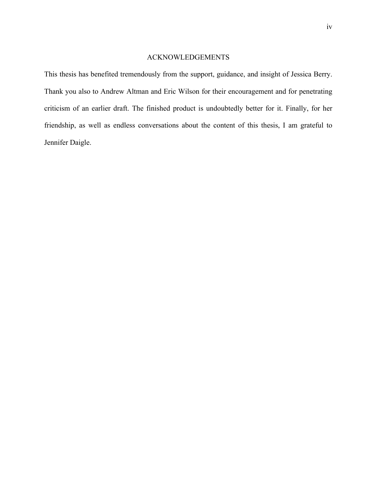### ACKNOWLEDGEMENTS

This thesis has benefited tremendously from the support, guidance, and insight of Jessica Berry. Thank you also to Andrew Altman and Eric Wilson for their encouragement and for penetrating criticism of an earlier draft. The finished product is undoubtedly better for it. Finally, for her friendship, as well as endless conversations about the content of this thesis, I am grateful to Jennifer Daigle.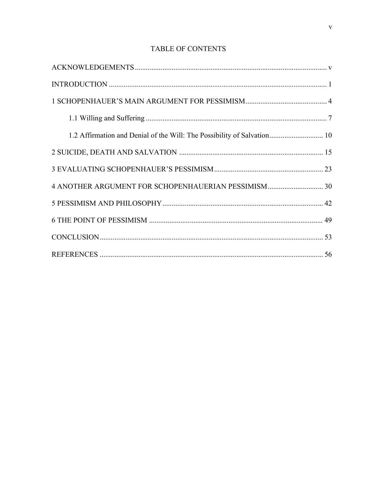### TABLE OF CONTENTS

| 1.2 Affirmation and Denial of the Will: The Possibility of Salvation 10 |  |
|-------------------------------------------------------------------------|--|
|                                                                         |  |
|                                                                         |  |
|                                                                         |  |
|                                                                         |  |
|                                                                         |  |
|                                                                         |  |
|                                                                         |  |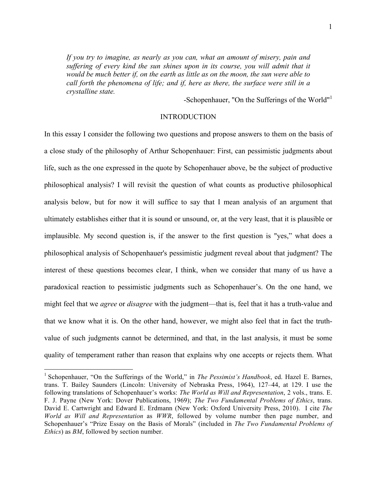*If you try to imagine, as nearly as you can, what an amount of misery, pain and suffering of every kind the sun shines upon in its course, you will admit that it would be much better if, on the earth as little as on the moon, the sun were able to call forth the phenomena of life; and if, here as there, the surface were still in a crystalline state.*

-Schopenhauer, "On the Sufferings of the World"<sup>1</sup>

### INTRODUCTION

In this essay I consider the following two questions and propose answers to them on the basis of a close study of the philosophy of Arthur Schopenhauer: First, can pessimistic judgments about life, such as the one expressed in the quote by Schopenhauer above, be the subject of productive philosophical analysis? I will revisit the question of what counts as productive philosophical analysis below, but for now it will suffice to say that I mean analysis of an argument that ultimately establishes either that it is sound or unsound, or, at the very least, that it is plausible or implausible. My second question is, if the answer to the first question is "yes," what does a philosophical analysis of Schopenhauer's pessimistic judgment reveal about that judgment? The interest of these questions becomes clear, I think, when we consider that many of us have a paradoxical reaction to pessimistic judgments such as Schopenhauer's. On the one hand, we might feel that we *agree* or *disagree* with the judgment—that is, feel that it has a truth-value and that we know what it is. On the other hand, however, we might also feel that in fact the truthvalue of such judgments cannot be determined, and that, in the last analysis, it must be some quality of temperament rather than reason that explains why one accepts or rejects them. What

 <sup>1</sup> Schopenhauer, "On the Sufferings of the World," in *The Pessimist's Handbook*, ed. Hazel E. Barnes, trans. T. Bailey Saunders (Lincoln: University of Nebraska Press, 1964), 127–44, at 129. I use the following translations of Schopenhauer's works: *The World as Will and Representation*, 2 vols., trans. E. F. J. Payne (New York: Dover Publications, 1969); *The Two Fundamental Problems of Ethics*, trans. David E. Cartwright and Edward E. Erdmann (New York: Oxford University Press, 2010). I cite *The World as Will and Representation* as *WWR*, followed by volume number then page number, and Schopenhauer's "Prize Essay on the Basis of Morals" (included in *The Two Fundamental Problems of Ethics*) as *BM*, followed by section number.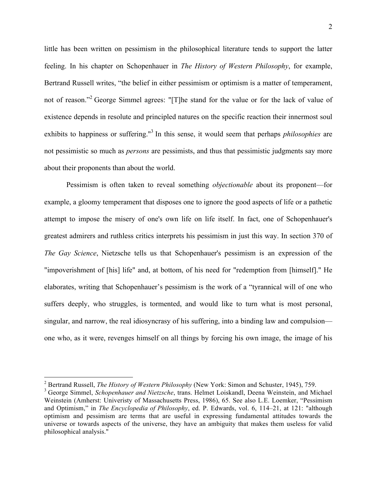little has been written on pessimism in the philosophical literature tends to support the latter feeling. In his chapter on Schopenhauer in *The History of Western Philosophy*, for example, Bertrand Russell writes, "the belief in either pessimism or optimism is a matter of temperament, not of reason."<sup>2</sup> George Simmel agrees: "[T]he stand for the value or for the lack of value of existence depends in resolute and principled natures on the specific reaction their innermost soul exhibits to happiness or suffering."<sup>3</sup> In this sense, it would seem that perhaps *philosophies* are not pessimistic so much as *persons* are pessimists, and thus that pessimistic judgments say more about their proponents than about the world.

Pessimism is often taken to reveal something *objectionable* about its proponent—for example, a gloomy temperament that disposes one to ignore the good aspects of life or a pathetic attempt to impose the misery of one's own life on life itself. In fact, one of Schopenhauer's greatest admirers and ruthless critics interprets his pessimism in just this way. In section 370 of *The Gay Science*, Nietzsche tells us that Schopenhauer's pessimism is an expression of the "impoverishment of [his] life" and, at bottom, of his need for "redemption from [himself]." He elaborates, writing that Schopenhauer's pessimism is the work of a "tyrannical will of one who suffers deeply, who struggles, is tormented, and would like to turn what is most personal, singular, and narrow, the real idiosyncrasy of his suffering, into a binding law and compulsion one who, as it were, revenges himself on all things by forcing his own image, the image of his

 <sup>2</sup> Bertrand Russell, *The History of Western Philosophy* (New York: Simon and Schuster, 1945), 759.

<sup>3</sup> George Simmel, *Schopenhauer and Nietzsche*, trans. Helmet Loiskandl, Deena Weinstein, and Michael Weinstein (Amherst: Univeristy of Massachusetts Press, 1986), 65. See also L.E. Loemker, "Pessimism and Optimism," in *The Encyclopedia of Philosophy*, ed. P. Edwards, vol. 6, 114–21, at 121: "although optimism and pessimism are terms that are useful in expressing fundamental attitudes towards the universe or towards aspects of the universe, they have an ambiguity that makes them useless for valid philosophical analysis."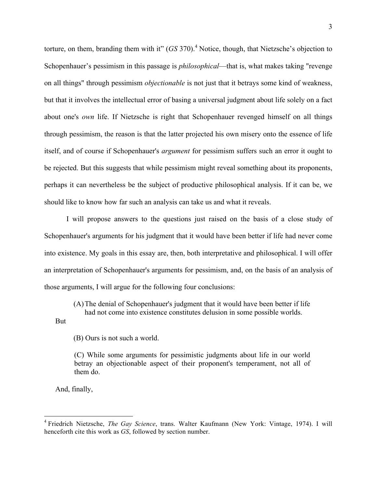torture, on them, branding them with it" (*GS* 370). <sup>4</sup> Notice, though, that Nietzsche's objection to Schopenhauer's pessimism in this passage is *philosophical*—that is, what makes taking "revenge on all things" through pessimism *objectionable* is not just that it betrays some kind of weakness, but that it involves the intellectual error of basing a universal judgment about life solely on a fact about one's *own* life. If Nietzsche is right that Schopenhauer revenged himself on all things through pessimism, the reason is that the latter projected his own misery onto the essence of life itself, and of course if Schopenhauer's *argument* for pessimism suffers such an error it ought to be rejected. But this suggests that while pessimism might reveal something about its proponents, perhaps it can nevertheless be the subject of productive philosophical analysis. If it can be, we should like to know how far such an analysis can take us and what it reveals.

I will propose answers to the questions just raised on the basis of a close study of Schopenhauer's arguments for his judgment that it would have been better if life had never come into existence. My goals in this essay are, then, both interpretative and philosophical. I will offer an interpretation of Schopenhauer's arguments for pessimism, and, on the basis of an analysis of those arguments, I will argue for the following four conclusions:

(A)The denial of Schopenhauer's judgment that it would have been better if life

had not come into existence constitutes delusion in some possible worlds.

But

(B) Ours is not such a world.

(C) While some arguments for pessimistic judgments about life in our world betray an objectionable aspect of their proponent's temperament, not all of them do.

And, finally,

 <sup>4</sup> Friedrich Nietzsche, *The Gay Science*, trans. Walter Kaufmann (New York: Vintage, 1974). <sup>I</sup> will henceforth cite this work as *GS*, followed by section number.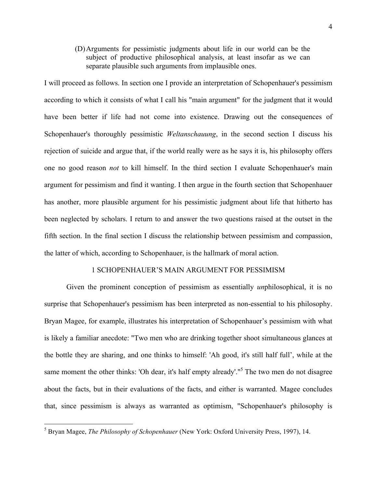(D)Arguments for pessimistic judgments about life in our world can be the subject of productive philosophical analysis, at least insofar as we can separate plausible such arguments from implausible ones.

I will proceed as follows. In section one I provide an interpretation of Schopenhauer's pessimism according to which it consists of what I call his "main argument" for the judgment that it would have been better if life had not come into existence. Drawing out the consequences of Schopenhauer's thoroughly pessimistic *Weltanschauung*, in the second section I discuss his rejection of suicide and argue that, if the world really were as he says it is, his philosophy offers one no good reason *not* to kill himself. In the third section I evaluate Schopenhauer's main argument for pessimism and find it wanting. I then argue in the fourth section that Schopenhauer has another, more plausible argument for his pessimistic judgment about life that hitherto has been neglected by scholars. I return to and answer the two questions raised at the outset in the fifth section. In the final section I discuss the relationship between pessimism and compassion, the latter of which, according to Schopenhauer, is the hallmark of moral action.

#### 1 SCHOPENHAUER'S MAIN ARGUMENT FOR PESSIMISM

Given the prominent conception of pessimism as essentially *un*philosophical, it is no surprise that Schopenhauer's pessimism has been interpreted as non-essential to his philosophy. Bryan Magee, for example, illustrates his interpretation of Schopenhauer's pessimism with what is likely a familiar anecdote: "Two men who are drinking together shoot simultaneous glances at the bottle they are sharing, and one thinks to himself: 'Ah good, it's still half full', while at the same moment the other thinks: 'Oh dear, it's half empty already'."<sup>5</sup> The two men do not disagree about the facts, but in their evaluations of the facts, and either is warranted. Magee concludes that, since pessimism is always as warranted as optimism, "Schopenhauer's philosophy is

 <sup>5</sup> Bryan Magee, *The Philosophy of Schopenhauer* (New York: Oxford University Press, 1997), 14.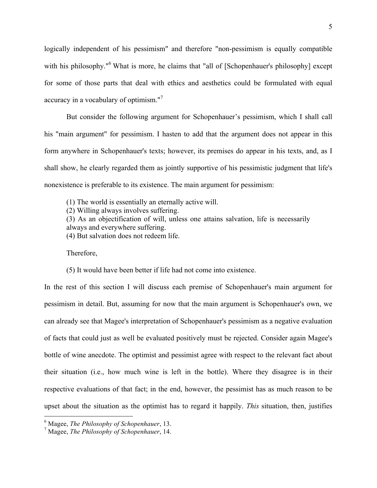logically independent of his pessimism" and therefore "non-pessimism is equally compatible with his philosophy."<sup>6</sup> What is more, he claims that "all of [Schopenhauer's philosophy] except for some of those parts that deal with ethics and aesthetics could be formulated with equal accuracy in a vocabulary of optimism."<sup>7</sup>

But consider the following argument for Schopenhauer's pessimism, which I shall call his "main argument" for pessimism. I hasten to add that the argument does not appear in this form anywhere in Schopenhauer's texts; however, its premises do appear in his texts, and, as I shall show, he clearly regarded them as jointly supportive of his pessimistic judgment that life's nonexistence is preferable to its existence. The main argument for pessimism:

(1) The world is essentially an eternally active will.

(2) Willing always involves suffering.

(3) As an objectification of will, unless one attains salvation, life is necessarily always and everywhere suffering.

(4) But salvation does not redeem life.

Therefore,

(5) It would have been better if life had not come into existence.

In the rest of this section I will discuss each premise of Schopenhauer's main argument for pessimism in detail. But, assuming for now that the main argument is Schopenhauer's own, we can already see that Magee's interpretation of Schopenhauer's pessimism as a negative evaluation of facts that could just as well be evaluated positively must be rejected. Consider again Magee's bottle of wine anecdote. The optimist and pessimist agree with respect to the relevant fact about their situation (i.e., how much wine is left in the bottle). Where they disagree is in their respective evaluations of that fact; in the end, however, the pessimist has as much reason to be upset about the situation as the optimist has to regard it happily. *This* situation, then, justifies

 <sup>6</sup> Magee, *The Philosophy of Schopenhauer*, 13.

<sup>7</sup> Magee, *The Philosophy of Schopenhauer*, 14.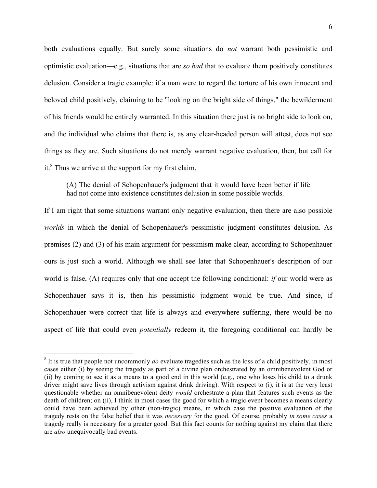both evaluations equally. But surely some situations do *not* warrant both pessimistic and optimistic evaluation—e.g., situations that are *so bad* that to evaluate them positively constitutes delusion. Consider a tragic example: if a man were to regard the torture of his own innocent and beloved child positively, claiming to be "looking on the bright side of things," the bewilderment of his friends would be entirely warranted. In this situation there just is no bright side to look on, and the individual who claims that there is, as any clear-headed person will attest, does not see things as they are. Such situations do not merely warrant negative evaluation, then, but call for it. $8$  Thus we arrive at the support for my first claim,

(A) The denial of Schopenhauer's judgment that it would have been better if life had not come into existence constitutes delusion in some possible worlds.

If I am right that some situations warrant only negative evaluation, then there are also possible *worlds* in which the denial of Schopenhauer's pessimistic judgment constitutes delusion. As premises (2) and (3) of his main argument for pessimism make clear, according to Schopenhauer ours is just such a world. Although we shall see later that Schopenhauer's description of our world is false, (A) requires only that one accept the following conditional: *if* our world were as Schopenhauer says it is, then his pessimistic judgment would be true. And since, if Schopenhauer were correct that life is always and everywhere suffering, there would be no aspect of life that could even *potentially* redeem it, the foregoing conditional can hardly be

<sup>&</sup>lt;sup>8</sup> It is true that people not uncommonly *do* evaluate tragedies such as the loss of a child positively, in most cases either (i) by seeing the tragedy as part of a divine plan orchestrated by an omnibenevolent God or (ii) by coming to see it as a means to a good end in this world (e.g., one who loses his child to a drunk driver might save lives through activism against drink driving). With respect to (i), it is at the very least questionable whether an omnibenevolent deity *would* orchestrate a plan that features such events as the death of children; on (ii), I think in most cases the good for which a tragic event becomes a means clearly could have been achieved by other (non-tragic) means, in which case the positive evaluation of the tragedy rests on the false belief that it was *necessary* for the good. Of course, probably *in some cases* a tragedy really is necessary for a greater good. But this fact counts for nothing against my claim that there are *also* unequivocally bad events.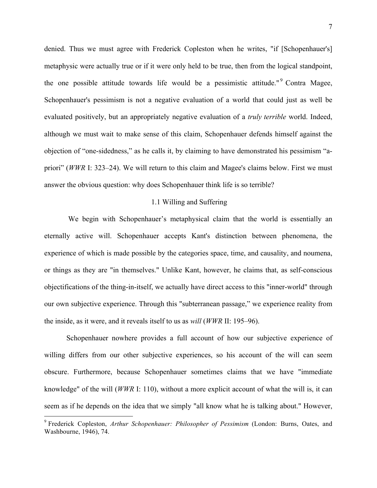denied. Thus we must agree with Frederick Copleston when he writes, "if [Schopenhauer's] metaphysic were actually true or if it were only held to be true, then from the logical standpoint, the one possible attitude towards life would be a pessimistic attitude."<sup>9</sup> Contra Magee, Schopenhauer's pessimism is not a negative evaluation of a world that could just as well be evaluated positively, but an appropriately negative evaluation of a *truly terrible* world. Indeed, although we must wait to make sense of this claim, Schopenhauer defends himself against the objection of "one-sidedness," as he calls it, by claiming to have demonstrated his pessimism "apriori" (*WWR* I: 323–24). We will return to this claim and Magee's claims below. First we must answer the obvious question: why does Schopenhauer think life is so terrible?

### 1.1 Willing and Suffering

We begin with Schopenhauer's metaphysical claim that the world is essentially an eternally active will. Schopenhauer accepts Kant's distinction between phenomena, the experience of which is made possible by the categories space, time, and causality, and noumena, or things as they are "in themselves." Unlike Kant, however, he claims that, as self-conscious objectifications of the thing-in-itself, we actually have direct access to this "inner-world" through our own subjective experience. Through this "subterranean passage," we experience reality from the inside, as it were, and it reveals itself to us as *will* (*WWR* II: 195–96).

Schopenhauer nowhere provides a full account of how our subjective experience of willing differs from our other subjective experiences, so his account of the will can seem obscure. Furthermore, because Schopenhauer sometimes claims that we have "immediate knowledge" of the will (*WWR* I: 110), without a more explicit account of what the will is, it can seem as if he depends on the idea that we simply "all know what he is talking about." However,

 <sup>9</sup> Frederick Copleston, *Arthur Schopenhauer: Philosopher of Pessimism* (London: Burns, Oates, and Washbourne, 1946), 74.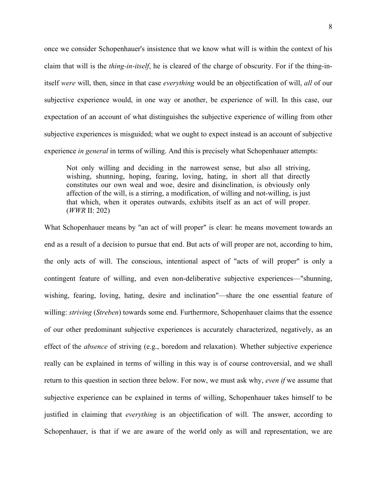once we consider Schopenhauer's insistence that we know what will is within the context of his claim that will is the *thing-in-itself*, he is cleared of the charge of obscurity. For if the thing-initself *were* will, then, since in that case *everything* would be an objectification of will, *all* of our subjective experience would, in one way or another, be experience of will. In this case, our expectation of an account of what distinguishes the subjective experience of willing from other subjective experiences is misguided; what we ought to expect instead is an account of subjective experience *in general* in terms of willing. And this is precisely what Schopenhauer attempts:

Not only willing and deciding in the narrowest sense, but also all striving, wishing, shunning, hoping, fearing, loving, hating, in short all that directly constitutes our own weal and woe, desire and disinclination, is obviously only affection of the will, is a stirring, a modification, of willing and not-willing, is just that which, when it operates outwards, exhibits itself as an act of will proper. (*WWR* II: 202)

What Schopenhauer means by "an act of will proper" is clear: he means movement towards an end as a result of a decision to pursue that end. But acts of will proper are not, according to him, the only acts of will. The conscious, intentional aspect of "acts of will proper" is only a contingent feature of willing, and even non-deliberative subjective experiences—"shunning, wishing, fearing, loving, hating, desire and inclination"—share the one essential feature of willing: *striving* (*Streben*) towards some end. Furthermore, Schopenhauer claims that the essence of our other predominant subjective experiences is accurately characterized, negatively, as an effect of the *absence* of striving (e.g., boredom and relaxation). Whether subjective experience really can be explained in terms of willing in this way is of course controversial, and we shall return to this question in section three below. For now, we must ask why, *even if* we assume that subjective experience can be explained in terms of willing, Schopenhauer takes himself to be justified in claiming that *everything* is an objectification of will. The answer, according to Schopenhauer, is that if we are aware of the world only as will and representation, we are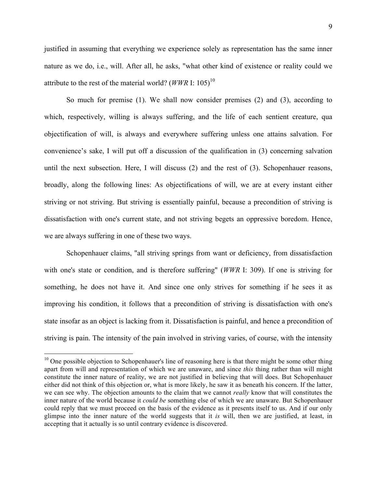justified in assuming that everything we experience solely as representation has the same inner nature as we do, i.e., will. After all, he asks, "what other kind of existence or reality could we attribute to the rest of the material world?  $(WWR$  I: 105)<sup>10</sup>

So much for premise (1). We shall now consider premises (2) and (3), according to which, respectively, willing is always suffering, and the life of each sentient creature, qua objectification of will, is always and everywhere suffering unless one attains salvation. For convenience's sake, I will put off a discussion of the qualification in (3) concerning salvation until the next subsection. Here, I will discuss (2) and the rest of (3). Schopenhauer reasons, broadly, along the following lines: As objectifications of will, we are at every instant either striving or not striving. But striving is essentially painful, because a precondition of striving is dissatisfaction with one's current state, and not striving begets an oppressive boredom. Hence, we are always suffering in one of these two ways.

Schopenhauer claims, "all striving springs from want or deficiency, from dissatisfaction with one's state or condition, and is therefore suffering" (*WWR* I: 309). If one is striving for something, he does not have it. And since one only strives for something if he sees it as improving his condition, it follows that a precondition of striving is dissatisfaction with one's state insofar as an object is lacking from it. Dissatisfaction is painful, and hence a precondition of striving is pain. The intensity of the pain involved in striving varies, of course, with the intensity

<sup>&</sup>lt;sup>10</sup> One possible objection to Schopenhauer's line of reasoning here is that there might be some other thing apart from will and representation of which we are unaware, and since *this* thing rather than will might constitute the inner nature of reality, we are not justified in believing that will does. But Schopenhauer either did not think of this objection or, what is more likely, he saw it as beneath his concern. If the latter, we can see why. The objection amounts to the claim that we cannot *really* know that will constitutes the inner nature of the world because it *could be* something else of which we are unaware. But Schopenhauer could reply that we must proceed on the basis of the evidence as it presents itself to us. And if our only glimpse into the inner nature of the world suggests that it *is* will, then we are justified, at least, in accepting that it actually is so until contrary evidence is discovered.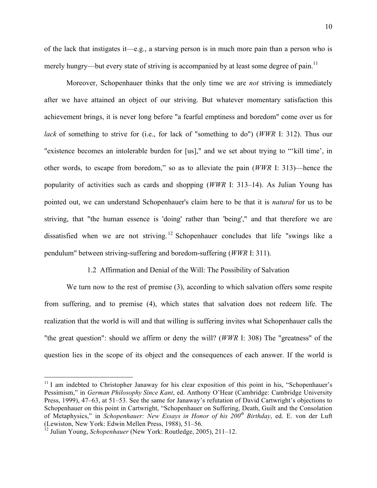of the lack that instigates it—e.g., a starving person is in much more pain than a person who is merely hungry—but every state of striving is accompanied by at least some degree of pain.<sup>11</sup>

Moreover, Schopenhauer thinks that the only time we are *not* striving is immediately after we have attained an object of our striving. But whatever momentary satisfaction this achievement brings, it is never long before "a fearful emptiness and boredom" come over us for *lack* of something to strive for (i.e., for lack of "something to do") (*WWR* I: 312). Thus our "existence becomes an intolerable burden for [us]," and we set about trying to "'kill time', in other words, to escape from boredom," so as to alleviate the pain (*WWR* I: 313)—hence the popularity of activities such as cards and shopping (*WWR* I: 313–14). As Julian Young has pointed out, we can understand Schopenhauer's claim here to be that it is *natural* for us to be striving, that "the human essence is 'doing' rather than 'being'," and that therefore we are dissatisfied when we are not striving.<sup>12</sup> Schopenhauer concludes that life "swings like a pendulum" between striving-suffering and boredom-suffering (*WWR* I: 311).

### 1.2 Affirmation and Denial of the Will: The Possibility of Salvation

We turn now to the rest of premise (3), according to which salvation offers some respite from suffering, and to premise (4), which states that salvation does not redeem life. The realization that the world is will and that willing is suffering invites what Schopenhauer calls the "the great question": should we affirm or deny the will? (*WWR* I: 308) The "greatness" of the question lies in the scope of its object and the consequences of each answer. If the world is

 $11$  I am indebted to Christopher Janaway for his clear exposition of this point in his, "Schopenhauer's Pessimism," in *German Philosophy Since Kant*, ed. Anthony O'Hear (Cambridge: Cambridge University Press, 1999), 47–63, at 51–53. See the same for Janaway's refutation of David Cartwright's objections to Schopenhauer on this point in Cartwright, "Schopenhauer on Suffering, Death, Guilt and the Consolation of Metaphysics," in *Schopenhauer: New Essays in Honor of his 200th Birthday*, ed. E. von der Luft (Lewiston, New York: Edwin Mellen Press, 1988), 51–56.

<sup>&</sup>lt;sup>12</sup> Julian Young, *Schopenhauer* (New York: Routledge, 2005), 211–12.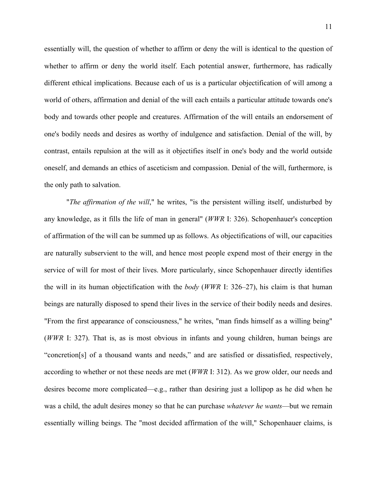essentially will, the question of whether to affirm or deny the will is identical to the question of whether to affirm or deny the world itself. Each potential answer, furthermore, has radically different ethical implications. Because each of us is a particular objectification of will among a world of others, affirmation and denial of the will each entails a particular attitude towards one's body and towards other people and creatures. Affirmation of the will entails an endorsement of one's bodily needs and desires as worthy of indulgence and satisfaction. Denial of the will, by contrast, entails repulsion at the will as it objectifies itself in one's body and the world outside oneself, and demands an ethics of asceticism and compassion. Denial of the will, furthermore, is the only path to salvation.

"*The affirmation of the will*," he writes, "is the persistent willing itself, undisturbed by any knowledge, as it fills the life of man in general" (*WWR* I: 326). Schopenhauer's conception of affirmation of the will can be summed up as follows. As objectifications of will, our capacities are naturally subservient to the will, and hence most people expend most of their energy in the service of will for most of their lives. More particularly, since Schopenhauer directly identifies the will in its human objectification with the *body* (*WWR* I: 326–27), his claim is that human beings are naturally disposed to spend their lives in the service of their bodily needs and desires. "From the first appearance of consciousness," he writes, "man finds himself as a willing being" (*WWR* I: 327). That is, as is most obvious in infants and young children, human beings are "concretion[s] of a thousand wants and needs," and are satisfied or dissatisfied, respectively, according to whether or not these needs are met (*WWR* I: 312). As we grow older, our needs and desires become more complicated—e.g., rather than desiring just a lollipop as he did when he was a child, the adult desires money so that he can purchase *whatever he wants*—but we remain essentially willing beings. The "most decided affirmation of the will," Schopenhauer claims, is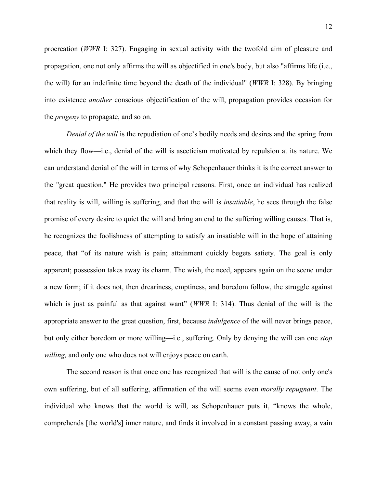procreation (*WWR* I: 327). Engaging in sexual activity with the twofold aim of pleasure and propagation, one not only affirms the will as objectified in one's body, but also "affirms life (i.e., the will) for an indefinite time beyond the death of the individual" (*WWR* I: 328). By bringing into existence *another* conscious objectification of the will, propagation provides occasion for the *progeny* to propagate, and so on.

*Denial of the will* is the repudiation of one's bodily needs and desires and the spring from which they flow—i.e., denial of the will is asceticism motivated by repulsion at its nature. We can understand denial of the will in terms of why Schopenhauer thinks it is the correct answer to the "great question." He provides two principal reasons. First, once an individual has realized that reality is will, willing is suffering, and that the will is *insatiable*, he sees through the false promise of every desire to quiet the will and bring an end to the suffering willing causes. That is, he recognizes the foolishness of attempting to satisfy an insatiable will in the hope of attaining peace, that "of its nature wish is pain; attainment quickly begets satiety. The goal is only apparent; possession takes away its charm. The wish, the need, appears again on the scene under a new form; if it does not, then dreariness, emptiness, and boredom follow, the struggle against which is just as painful as that against want" (*WWR* I: 314). Thus denial of the will is the appropriate answer to the great question, first, because *indulgence* of the will never brings peace, but only either boredom or more willing—i.e., suffering. Only by denying the will can one *stop willing,* and only one who does not will enjoys peace on earth.

The second reason is that once one has recognized that will is the cause of not only one's own suffering, but of all suffering, affirmation of the will seems even *morally repugnant*. The individual who knows that the world is will, as Schopenhauer puts it, "knows the whole, comprehends [the world's] inner nature, and finds it involved in a constant passing away, a vain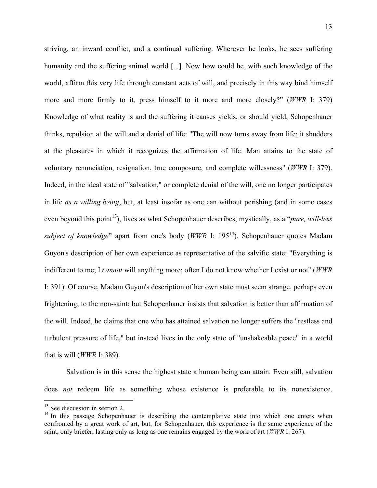striving, an inward conflict, and a continual suffering. Wherever he looks, he sees suffering humanity and the suffering animal world [...]. Now how could he, with such knowledge of the world, affirm this very life through constant acts of will, and precisely in this way bind himself more and more firmly to it, press himself to it more and more closely?" (*WWR* I: 379) Knowledge of what reality is and the suffering it causes yields, or should yield, Schopenhauer thinks, repulsion at the will and a denial of life: "The will now turns away from life; it shudders at the pleasures in which it recognizes the affirmation of life. Man attains to the state of voluntary renunciation, resignation, true composure, and complete willessness" (*WWR* I: 379). Indeed, in the ideal state of "salvation," or complete denial of the will, one no longer participates in life *as a willing being*, but, at least insofar as one can without perishing (and in some cases even beyond this point<sup>13</sup>), lives as what Schopenhauer describes, mystically, as a "*pure, will-less subject of knowledge*" apart from one's body (*WWR* I: 195<sup>14</sup>). Schopenhauer quotes Madam Guyon's description of her own experience as representative of the salvific state: "Everything is indifferent to me; I *cannot* will anything more; often I do not know whether I exist or not" (*WWR* I: 391). Of course, Madam Guyon's description of her own state must seem strange, perhaps even frightening, to the non-saint; but Schopenhauer insists that salvation is better than affirmation of the will. Indeed, he claims that one who has attained salvation no longer suffers the "restless and turbulent pressure of life," but instead lives in the only state of "unshakeable peace" in a world that is will (*WWR* I: 389).

Salvation is in this sense the highest state a human being can attain. Even still, salvation does *not* redeem life as something whose existence is preferable to its nonexistence.

 $13$  See discussion in section 2.

 $14$  In this passage Schopenhauer is describing the contemplative state into which one enters when confronted by a great work of art, but, for Schopenhauer, this experience is the same experience of the saint, only briefer, lasting only as long as one remains engaged by the work of art (*WWR* I: 267).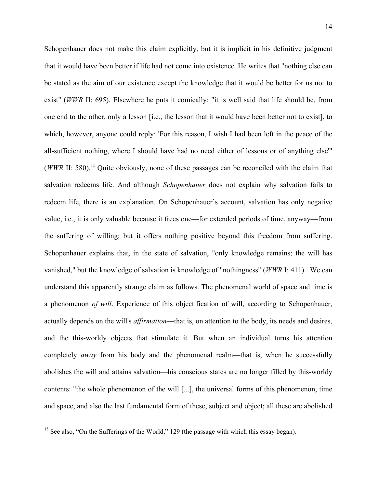Schopenhauer does not make this claim explicitly, but it is implicit in his definitive judgment that it would have been better if life had not come into existence. He writes that "nothing else can be stated as the aim of our existence except the knowledge that it would be better for us not to exist" (*WWR* II: 695). Elsewhere he puts it comically: "it is well said that life should be, from one end to the other, only a lesson [i.e., the lesson that it would have been better not to exist], to which, however, anyone could reply: 'For this reason, I wish I had been left in the peace of the all-sufficient nothing, where I should have had no need either of lessons or of anything else'" (*WWR* II: 580).<sup>15</sup> Quite obviously, none of these passages can be reconciled with the claim that salvation redeems life. And although *Schopenhauer* does not explain why salvation fails to redeem life, there is an explanation. On Schopenhauer's account, salvation has only negative value, i.e., it is only valuable because it frees one—for extended periods of time, anyway—from the suffering of willing; but it offers nothing positive beyond this freedom from suffering. Schopenhauer explains that, in the state of salvation, "only knowledge remains; the will has vanished," but the knowledge of salvation is knowledge of "nothingness" (*WWR* I: 411). We can understand this apparently strange claim as follows. The phenomenal world of space and time is a phenomenon *of will*. Experience of this objectification of will, according to Schopenhauer, actually depends on the will's *affirmation*—that is, on attention to the body, its needs and desires, and the this-worldy objects that stimulate it. But when an individual turns his attention completely *away* from his body and the phenomenal realm—that is, when he successfully abolishes the will and attains salvation—his conscious states are no longer filled by this-worldy contents: "the whole phenomenon of the will [...], the universal forms of this phenomenon, time and space, and also the last fundamental form of these, subject and object; all these are abolished

<sup>&</sup>lt;sup>15</sup> See also, "On the Sufferings of the World," 129 (the passage with which this essay began).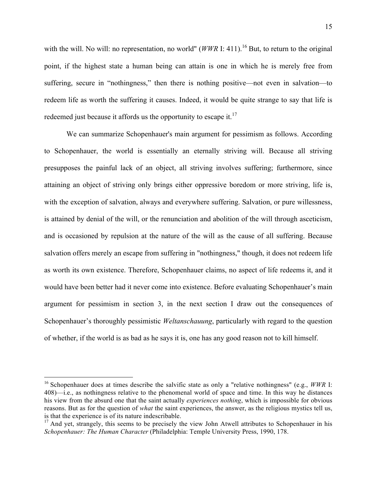with the will. No will: no representation, no world" (*WWR* I: 411).<sup>16</sup> But, to return to the original point, if the highest state a human being can attain is one in which he is merely free from suffering, secure in "nothingness," then there is nothing positive—not even in salvation—to redeem life as worth the suffering it causes. Indeed, it would be quite strange to say that life is redeemed just because it affords us the opportunity to escape it. $17$ 

We can summarize Schopenhauer's main argument for pessimism as follows. According to Schopenhauer, the world is essentially an eternally striving will. Because all striving presupposes the painful lack of an object, all striving involves suffering; furthermore, since attaining an object of striving only brings either oppressive boredom or more striving, life is, with the exception of salvation, always and everywhere suffering. Salvation, or pure willessness, is attained by denial of the will, or the renunciation and abolition of the will through asceticism, and is occasioned by repulsion at the nature of the will as the cause of all suffering. Because salvation offers merely an escape from suffering in "nothingness," though, it does not redeem life as worth its own existence. Therefore, Schopenhauer claims, no aspect of life redeems it, and it would have been better had it never come into existence. Before evaluating Schopenhauer's main argument for pessimism in section 3, in the next section I draw out the consequences of Schopenhauer's thoroughly pessimistic *Weltanschauung*, particularly with regard to the question of whether, if the world is as bad as he says it is, one has any good reason not to kill himself.

 <sup>16</sup> Schopenhauer does at times describe the salvific state as only <sup>a</sup> "relative nothingness" (e.g., *WWR* I: 408)—i.e., as nothingness relative to the phenomenal world of space and time. In this way he distances his view from the absurd one that the saint actually *experiences nothing*, which is impossible for obvious reasons. But as for the question of *what* the saint experiences, the answer, as the religious mystics tell us, is that the experience is of its nature indescribable.

<sup>&</sup>lt;sup>17</sup> And yet, strangely, this seems to be precisely the view John Atwell attributes to Schopenhauer in his *Schopenhauer: The Human Character* (Philadelphia: Temple University Press, 1990, 178.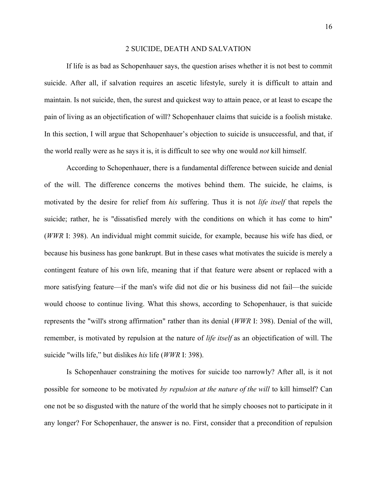#### 2 SUICIDE, DEATH AND SALVATION

If life is as bad as Schopenhauer says, the question arises whether it is not best to commit suicide. After all, if salvation requires an ascetic lifestyle, surely it is difficult to attain and maintain. Is not suicide, then, the surest and quickest way to attain peace, or at least to escape the pain of living as an objectification of will? Schopenhauer claims that suicide is a foolish mistake. In this section, I will argue that Schopenhauer's objection to suicide is unsuccessful, and that, if the world really were as he says it is, it is difficult to see why one would *not* kill himself.

According to Schopenhauer, there is a fundamental difference between suicide and denial of the will. The difference concerns the motives behind them. The suicide, he claims, is motivated by the desire for relief from *his* suffering. Thus it is not *life itself* that repels the suicide; rather, he is "dissatisfied merely with the conditions on which it has come to him" (*WWR* I: 398). An individual might commit suicide, for example, because his wife has died, or because his business has gone bankrupt. But in these cases what motivates the suicide is merely a contingent feature of his own life, meaning that if that feature were absent or replaced with a more satisfying feature—if the man's wife did not die or his business did not fail—the suicide would choose to continue living. What this shows, according to Schopenhauer, is that suicide represents the "will's strong affirmation" rather than its denial (*WWR* I: 398). Denial of the will, remember, is motivated by repulsion at the nature of *life itself* as an objectification of will. The suicide "wills life," but dislikes *his* life (*WWR* I: 398).

Is Schopenhauer constraining the motives for suicide too narrowly? After all, is it not possible for someone to be motivated *by repulsion at the nature of the will* to kill himself? Can one not be so disgusted with the nature of the world that he simply chooses not to participate in it any longer? For Schopenhauer, the answer is no. First, consider that a precondition of repulsion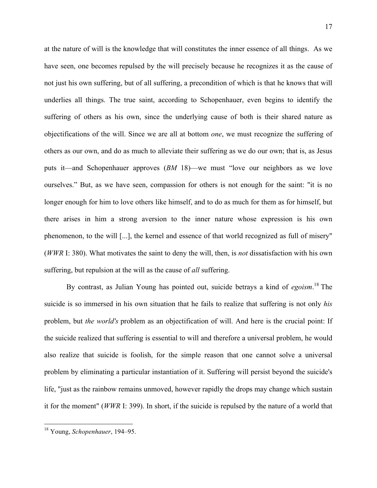at the nature of will is the knowledge that will constitutes the inner essence of all things. As we have seen, one becomes repulsed by the will precisely because he recognizes it as the cause of not just his own suffering, but of all suffering, a precondition of which is that he knows that will underlies all things. The true saint, according to Schopenhauer, even begins to identify the suffering of others as his own, since the underlying cause of both is their shared nature as objectifications of the will. Since we are all at bottom *one*, we must recognize the suffering of others as our own, and do as much to alleviate their suffering as we do our own; that is, as Jesus puts it—and Schopenhauer approves (*BM* 18)—we must "love our neighbors as we love ourselves." But, as we have seen, compassion for others is not enough for the saint: "it is no longer enough for him to love others like himself, and to do as much for them as for himself, but there arises in him a strong aversion to the inner nature whose expression is his own phenomenon, to the will [...], the kernel and essence of that world recognized as full of misery" (*WWR* I: 380). What motivates the saint to deny the will, then, is *not* dissatisfaction with his own suffering, but repulsion at the will as the cause of *all* suffering.

By contrast, as Julian Young has pointed out, suicide betrays a kind of *egoism*. <sup>18</sup> The suicide is so immersed in his own situation that he fails to realize that suffering is not only *his* problem, but *the world's* problem as an objectification of will. And here is the crucial point: If the suicide realized that suffering is essential to will and therefore a universal problem, he would also realize that suicide is foolish, for the simple reason that one cannot solve a universal problem by eliminating a particular instantiation of it. Suffering will persist beyond the suicide's life, "just as the rainbow remains unmoved, however rapidly the drops may change which sustain it for the moment" (*WWR* I: 399). In short, if the suicide is repulsed by the nature of a world that

 <sup>18</sup> Young, *Schopenhauer*, 194–95.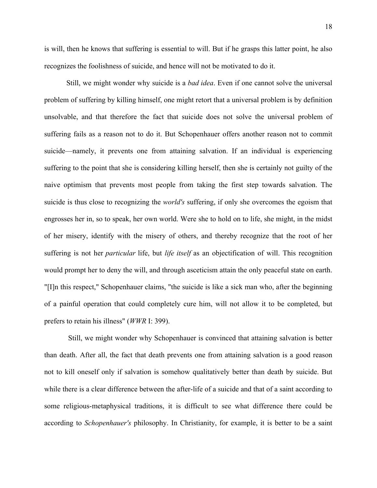is will, then he knows that suffering is essential to will. But if he grasps this latter point, he also recognizes the foolishness of suicide, and hence will not be motivated to do it.

Still, we might wonder why suicide is a *bad idea*. Even if one cannot solve the universal problem of suffering by killing himself, one might retort that a universal problem is by definition unsolvable, and that therefore the fact that suicide does not solve the universal problem of suffering fails as a reason not to do it. But Schopenhauer offers another reason not to commit suicide—namely, it prevents one from attaining salvation. If an individual is experiencing suffering to the point that she is considering killing herself, then she is certainly not guilty of the naive optimism that prevents most people from taking the first step towards salvation. The suicide is thus close to recognizing the *world's* suffering, if only she overcomes the egoism that engrosses her in, so to speak, her own world. Were she to hold on to life, she might, in the midst of her misery, identify with the misery of others, and thereby recognize that the root of her suffering is not her *particular* life, but *life itself* as an objectification of will. This recognition would prompt her to deny the will, and through asceticism attain the only peaceful state on earth. "[I]n this respect," Schopenhauer claims, "the suicide is like a sick man who, after the beginning of a painful operation that could completely cure him, will not allow it to be completed, but prefers to retain his illness" (*WWR* I: 399).

Still, we might wonder why Schopenhauer is convinced that attaining salvation is better than death. After all, the fact that death prevents one from attaining salvation is a good reason not to kill oneself only if salvation is somehow qualitatively better than death by suicide. But while there is a clear difference between the after-life of a suicide and that of a saint according to some religious-metaphysical traditions, it is difficult to see what difference there could be according to *Schopenhauer's* philosophy. In Christianity, for example, it is better to be a saint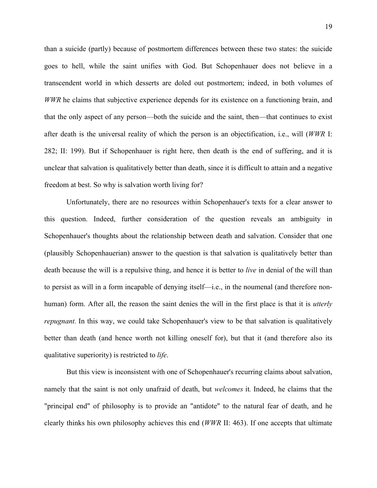than a suicide (partly) because of postmortem differences between these two states: the suicide goes to hell, while the saint unifies with God. But Schopenhauer does not believe in a transcendent world in which desserts are doled out postmortem; indeed, in both volumes of *WWR* he claims that subjective experience depends for its existence on a functioning brain, and that the only aspect of any person—both the suicide and the saint, then—that continues to exist after death is the universal reality of which the person is an objectification, i.e., will (*WWR* I: 282; II: 199). But if Schopenhauer is right here, then death is the end of suffering, and it is unclear that salvation is qualitatively better than death, since it is difficult to attain and a negative freedom at best. So why is salvation worth living for?

Unfortunately, there are no resources within Schopenhauer's texts for a clear answer to this question. Indeed, further consideration of the question reveals an ambiguity in Schopenhauer's thoughts about the relationship between death and salvation. Consider that one (plausibly Schopenhauerian) answer to the question is that salvation is qualitatively better than death because the will is a repulsive thing, and hence it is better to *live* in denial of the will than to persist as will in a form incapable of denying itself—i.e., in the noumenal (and therefore nonhuman) form. After all, the reason the saint denies the will in the first place is that it is *utterly repugnant*. In this way, we could take Schopenhauer's view to be that salvation is qualitatively better than death (and hence worth not killing oneself for), but that it (and therefore also its qualitative superiority) is restricted to *life*.

But this view is inconsistent with one of Schopenhauer's recurring claims about salvation, namely that the saint is not only unafraid of death, but *welcomes* it*.* Indeed, he claims that the "principal end" of philosophy is to provide an "antidote" to the natural fear of death, and he clearly thinks his own philosophy achieves this end (*WWR* II: 463). If one accepts that ultimate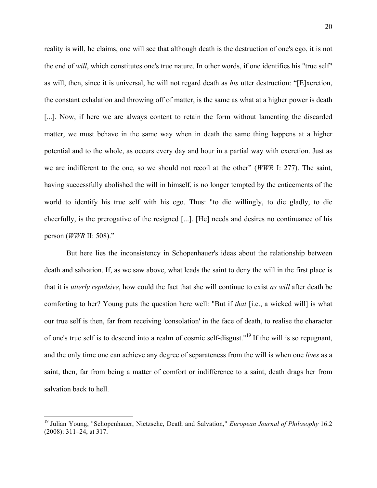reality is will, he claims, one will see that although death is the destruction of one's ego, it is not the end of *will*, which constitutes one's true nature. In other words, if one identifies his "true self" as will, then, since it is universal, he will not regard death as *his* utter destruction: "[E]xcretion, the constant exhalation and throwing off of matter, is the same as what at a higher power is death [...]. Now, if here we are always content to retain the form without lamenting the discarded matter, we must behave in the same way when in death the same thing happens at a higher potential and to the whole, as occurs every day and hour in a partial way with excretion. Just as we are indifferent to the one, so we should not recoil at the other" (*WWR* I: 277). The saint, having successfully abolished the will in himself, is no longer tempted by the enticements of the world to identify his true self with his ego. Thus: "to die willingly, to die gladly, to die cheerfully, is the prerogative of the resigned [...]. [He] needs and desires no continuance of his person (*WWR* II: 508)."

But here lies the inconsistency in Schopenhauer's ideas about the relationship between death and salvation. If, as we saw above, what leads the saint to deny the will in the first place is that it is *utterly repulsive*, how could the fact that she will continue to exist *as will* after death be comforting to her? Young puts the question here well: "But if *that* [i.e., a wicked will] is what our true self is then, far from receiving 'consolation' in the face of death, to realise the character of one's true self is to descend into a realm of cosmic self-disgust."<sup>19</sup> If the will is so repugnant, and the only time one can achieve any degree of separateness from the will is when one *lives* as a saint, then, far from being a matter of comfort or indifference to a saint, death drags her from salvation back to hell.

 <sup>19</sup> Julian Young, "Schopenhauer, Nietzsche, Death and Salvation," *European Journal of Philosophy* 16.2 (2008): 311–24, at 317.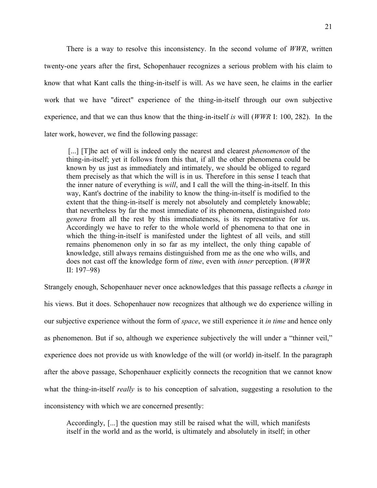There is a way to resolve this inconsistency. In the second volume of *WWR*, written twenty-one years after the first, Schopenhauer recognizes a serious problem with his claim to know that what Kant calls the thing-in-itself is will. As we have seen, he claims in the earlier work that we have "direct" experience of the thing-in-itself through our own subjective experience, and that we can thus know that the thing-in-itself *is* will (*WWR* I: 100, 282). In the later work, however, we find the following passage:

[...] [T]he act of will is indeed only the nearest and clearest *phenomenon* of the thing-in-itself; yet it follows from this that, if all the other phenomena could be known by us just as immediately and intimately, we should be obliged to regard them precisely as that which the will is in us. Therefore in this sense I teach that the inner nature of everything is *will*, and I call the will the thing-in-itself. In this way, Kant's doctrine of the inability to know the thing-in-itself is modified to the extent that the thing-in-itself is merely not absolutely and completely knowable; that nevertheless by far the most immediate of its phenomena, distinguished *toto genera* from all the rest by this immediateness, is its representative for us. Accordingly we have to refer to the whole world of phenomena to that one in which the thing-in-itself is manifested under the lightest of all veils, and still remains phenomenon only in so far as my intellect, the only thing capable of knowledge, still always remains distinguished from me as the one who wills, and does not cast off the knowledge form of *time*, even with *inner* perception. (*WWR* II: 197–98)

Strangely enough, Schopenhauer never once acknowledges that this passage reflects a *change* in his views. But it does. Schopenhauer now recognizes that although we do experience willing in our subjective experience without the form of *space*, we still experience it *in time* and hence only as phenomenon. But if so, although we experience subjectively the will under a "thinner veil," experience does not provide us with knowledge of the will (or world) in-itself. In the paragraph after the above passage, Schopenhauer explicitly connects the recognition that we cannot know what the thing-in-itself *really* is to his conception of salvation, suggesting a resolution to the inconsistency with which we are concerned presently:

Accordingly, [...] the question may still be raised what the will, which manifests itself in the world and as the world, is ultimately and absolutely in itself; in other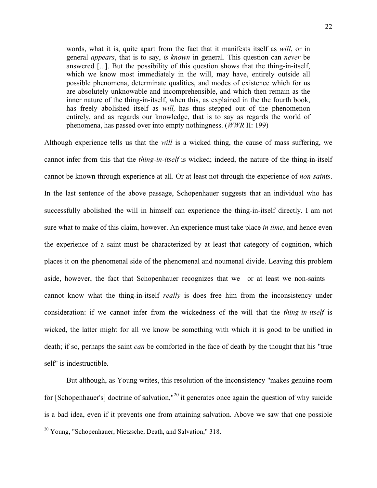words, what it is, quite apart from the fact that it manifests itself as *will*, or in general *appears*, that is to say, *is known* in general. This question can *never* be answered [...]. But the possibility of this question shows that the thing-in-itself, which we know most immediately in the will, may have, entirely outside all possible phenomena, determinate qualities, and modes of existence which for us are absolutely unknowable and incomprehensible, and which then remain as the inner nature of the thing-in-itself, when this, as explained in the the fourth book, has freely abolished itself as *will,* has thus stepped out of the phenomenon entirely, and as regards our knowledge, that is to say as regards the world of phenomena, has passed over into empty nothingness. (*WWR* II: 199)

Although experience tells us that the *will* is a wicked thing, the cause of mass suffering, we cannot infer from this that the *thing-in-itself* is wicked; indeed, the nature of the thing-in-itself cannot be known through experience at all. Or at least not through the experience of *non-saints*. In the last sentence of the above passage, Schopenhauer suggests that an individual who has successfully abolished the will in himself can experience the thing-in-itself directly. I am not sure what to make of this claim, however. An experience must take place *in time*, and hence even the experience of a saint must be characterized by at least that category of cognition, which places it on the phenomenal side of the phenomenal and noumenal divide. Leaving this problem aside, however, the fact that Schopenhauer recognizes that we—or at least we non-saints cannot know what the thing-in-itself *really* is does free him from the inconsistency under consideration: if we cannot infer from the wickedness of the will that the *thing-in-itself* is wicked, the latter might for all we know be something with which it is good to be unified in death; if so, perhaps the saint *can* be comforted in the face of death by the thought that his "true self" is indestructible.

But although, as Young writes, this resolution of the inconsistency "makes genuine room for [Schopenhauer's] doctrine of salvation,"<sup>20</sup> it generates once again the question of why suicide is a bad idea, even if it prevents one from attaining salvation. Above we saw that one possible

 $20$  Young, "Schopenhauer, Nietzsche, Death, and Salvation," 318.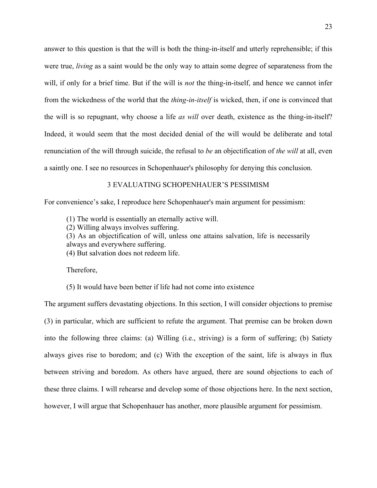answer to this question is that the will is both the thing-in-itself and utterly reprehensible; if this were true, *living* as a saint would be the only way to attain some degree of separateness from the will, if only for a brief time. But if the will is *not* the thing-in-itself, and hence we cannot infer from the wickedness of the world that the *thing-in-itself* is wicked, then, if one is convinced that the will is so repugnant, why choose a life *as will* over death, existence as the thing-in-itself? Indeed, it would seem that the most decided denial of the will would be deliberate and total renunciation of the will through suicide, the refusal to *be* an objectification of *the will* at all, even a saintly one. I see no resources in Schopenhauer's philosophy for denying this conclusion.

### 3 EVALUATING SCHOPENHAUER'S PESSIMISM

For convenience's sake, I reproduce here Schopenhauer's main argument for pessimism:

(1) The world is essentially an eternally active will.

(2) Willing always involves suffering.

(3) As an objectification of will, unless one attains salvation, life is necessarily always and everywhere suffering.

(4) But salvation does not redeem life.

Therefore,

(5) It would have been better if life had not come into existence

The argument suffers devastating objections. In this section, I will consider objections to premise (3) in particular, which are sufficient to refute the argument. That premise can be broken down into the following three claims: (a) Willing (i.e., striving) is a form of suffering; (b) Satiety always gives rise to boredom; and (c) With the exception of the saint, life is always in flux between striving and boredom. As others have argued, there are sound objections to each of these three claims. I will rehearse and develop some of those objections here. In the next section, however, I will argue that Schopenhauer has another, more plausible argument for pessimism.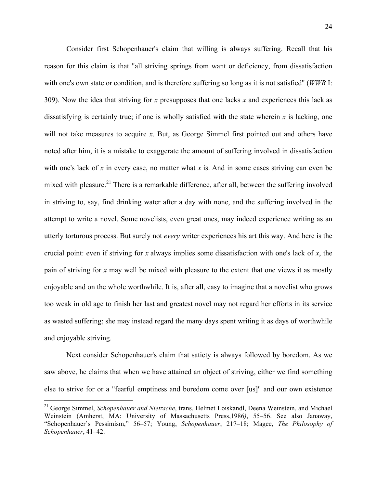Consider first Schopenhauer's claim that willing is always suffering. Recall that his reason for this claim is that "all striving springs from want or deficiency, from dissatisfaction with one's own state or condition, and is therefore suffering so long as it is not satisfied" (*WWR* I: 309). Now the idea that striving for *x* presupposes that one lacks *x* and experiences this lack as dissatisfying is certainly true; if one is wholly satisfied with the state wherein *x* is lacking, one will not take measures to acquire *x*. But, as George Simmel first pointed out and others have noted after him, it is a mistake to exaggerate the amount of suffering involved in dissatisfaction with one's lack of  $x$  in every case, no matter what  $x$  is. And in some cases striving can even be mixed with pleasure.<sup>21</sup> There is a remarkable difference, after all, between the suffering involved in striving to, say, find drinking water after a day with none, and the suffering involved in the attempt to write a novel. Some novelists, even great ones, may indeed experience writing as an utterly torturous process. But surely not *every* writer experiences his art this way. And here is the crucial point: even if striving for *x* always implies some dissatisfaction with one's lack of *x*, the pain of striving for *x* may well be mixed with pleasure to the extent that one views it as mostly enjoyable and on the whole worthwhile. It is, after all, easy to imagine that a novelist who grows too weak in old age to finish her last and greatest novel may not regard her efforts in its service as wasted suffering; she may instead regard the many days spent writing it as days of worthwhile and enjoyable striving.

Next consider Schopenhauer's claim that satiety is always followed by boredom. As we saw above, he claims that when we have attained an object of striving, either we find something else to strive for or a "fearful emptiness and boredom come over [us]" and our own existence

 <sup>21</sup> George Simmel, *Schopenhauer and Nietzsche*, trans. Helmet Loiskandl, Deena Weinstein, and Michael Weinstein (Amherst, MA: University of Massachusetts Press,1986*)*, 55–56. See also Janaway, "Schopenhauer's Pessimism," 56–57; Young, *Schopenhauer*, 217–18; Magee, *The Philosophy of Schopenhauer*, 41–42.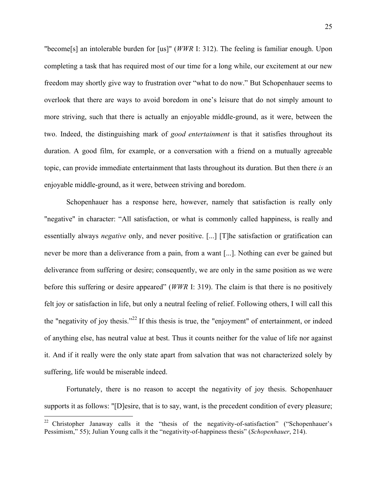"become[s] an intolerable burden for [us]" (*WWR* I: 312). The feeling is familiar enough. Upon completing a task that has required most of our time for a long while, our excitement at our new freedom may shortly give way to frustration over "what to do now." But Schopenhauer seems to overlook that there are ways to avoid boredom in one's leisure that do not simply amount to more striving, such that there is actually an enjoyable middle-ground, as it were, between the two. Indeed, the distinguishing mark of *good entertainment* is that it satisfies throughout its duration. A good film, for example, or a conversation with a friend on a mutually agreeable topic, can provide immediate entertainment that lasts throughout its duration. But then there *is* an enjoyable middle-ground, as it were, between striving and boredom.

Schopenhauer has a response here, however, namely that satisfaction is really only "negative" in character: "All satisfaction, or what is commonly called happiness, is really and essentially always *negative* only, and never positive. [...] [T]he satisfaction or gratification can never be more than a deliverance from a pain, from a want [...]. Nothing can ever be gained but deliverance from suffering or desire; consequently, we are only in the same position as we were before this suffering or desire appeared" (*WWR* I: 319). The claim is that there is no positively felt joy or satisfaction in life, but only a neutral feeling of relief. Following others, I will call this the "negativity of joy thesis."22 If this thesis is true, the "enjoyment" of entertainment, or indeed of anything else, has neutral value at best. Thus it counts neither for the value of life nor against it. And if it really were the only state apart from salvation that was not characterized solely by suffering, life would be miserable indeed.

Fortunately, there is no reason to accept the negativity of joy thesis. Schopenhauer supports it as follows: "[D]esire, that is to say, want, is the precedent condition of every pleasure;

<sup>&</sup>lt;sup>22</sup> Christopher Janaway calls it the "thesis of the negativity-of-satisfaction" ("Schopenhauer's Pessimism," 55); Julian Young calls it the "negativity-of-happiness thesis" (*Schopenhauer*, 214).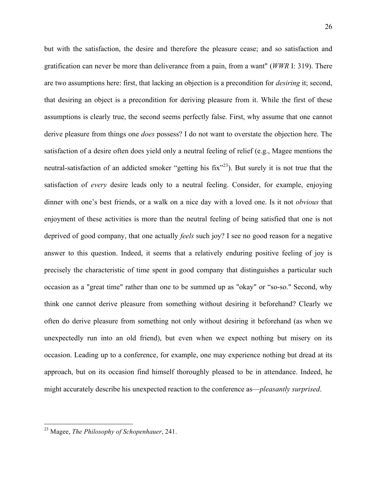but with the satisfaction, the desire and therefore the pleasure cease; and so satisfaction and gratification can never be more than deliverance from a pain, from a want" (*WWR* I: 319). There are two assumptions here: first, that lacking an objection is a precondition for *desiring* it; second, that desiring an object is a precondition for deriving pleasure from it. While the first of these assumptions is clearly true, the second seems perfectly false. First, why assume that one cannot derive pleasure from things one *does* possess? I do not want to overstate the objection here. The satisfaction of a desire often does yield only a neutral feeling of relief (e.g., Magee mentions the neutral-satisfaction of an addicted smoker "getting his fix"<sup>23</sup>). But surely it is not true that the satisfaction of *every* desire leads only to a neutral feeling. Consider, for example, enjoying dinner with one's best friends, or a walk on a nice day with a loved one. Is it not *obvious* that enjoyment of these activities is more than the neutral feeling of being satisfied that one is not deprived of good company, that one actually *feels* such joy? I see no good reason for a negative answer to this question. Indeed, it seems that a relatively enduring positive feeling of joy is precisely the characteristic of time spent in good company that distinguishes a particular such occasion as a "great time" rather than one to be summed up as "okay" or "so-so." Second, why think one cannot derive pleasure from something without desiring it beforehand? Clearly we often do derive pleasure from something not only without desiring it beforehand (as when we unexpectedly run into an old friend), but even when we expect nothing but misery on its occasion. Leading up to a conference, for example, one may experience nothing but dread at its approach, but on its occasion find himself thoroughly pleased to be in attendance. Indeed, he might accurately describe his unexpected reaction to the conference as—*pleasantly surprised*.

 <sup>23</sup> Magee, *The Philosophy of Schopenhauer*, 241.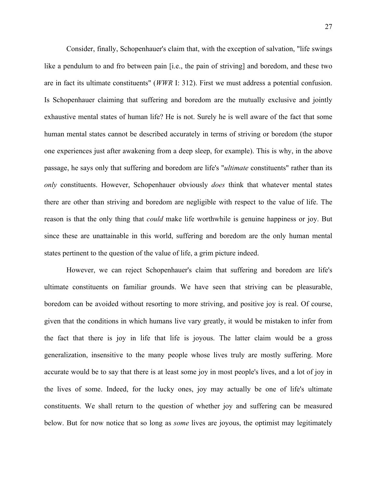Consider, finally, Schopenhauer's claim that, with the exception of salvation, "life swings like a pendulum to and fro between pain [i.e., the pain of striving] and boredom, and these two are in fact its ultimate constituents" (*WWR* I: 312). First we must address a potential confusion. Is Schopenhauer claiming that suffering and boredom are the mutually exclusive and jointly exhaustive mental states of human life? He is not. Surely he is well aware of the fact that some human mental states cannot be described accurately in terms of striving or boredom (the stupor one experiences just after awakening from a deep sleep, for example). This is why, in the above passage, he says only that suffering and boredom are life's "*ultimate* constituents" rather than its *only* constituents. However, Schopenhauer obviously *does* think that whatever mental states there are other than striving and boredom are negligible with respect to the value of life. The reason is that the only thing that *could* make life worthwhile is genuine happiness or joy. But since these are unattainable in this world, suffering and boredom are the only human mental states pertinent to the question of the value of life, a grim picture indeed.

However, we can reject Schopenhauer's claim that suffering and boredom are life's ultimate constituents on familiar grounds. We have seen that striving can be pleasurable, boredom can be avoided without resorting to more striving, and positive joy is real. Of course, given that the conditions in which humans live vary greatly, it would be mistaken to infer from the fact that there is joy in life that life is joyous. The latter claim would be a gross generalization, insensitive to the many people whose lives truly are mostly suffering. More accurate would be to say that there is at least some joy in most people's lives, and a lot of joy in the lives of some. Indeed, for the lucky ones, joy may actually be one of life's ultimate constituents. We shall return to the question of whether joy and suffering can be measured below. But for now notice that so long as *some* lives are joyous, the optimist may legitimately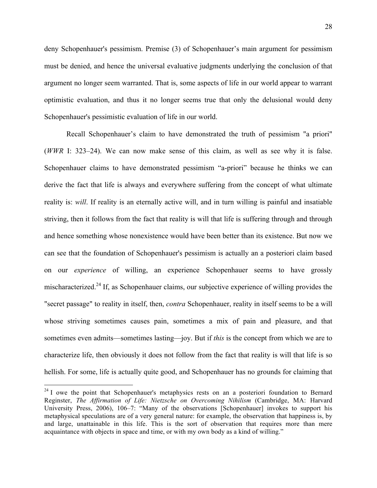deny Schopenhauer's pessimism. Premise (3) of Schopenhauer's main argument for pessimism must be denied, and hence the universal evaluative judgments underlying the conclusion of that argument no longer seem warranted. That is, some aspects of life in our world appear to warrant optimistic evaluation, and thus it no longer seems true that only the delusional would deny Schopenhauer's pessimistic evaluation of life in our world.

Recall Schopenhauer's claim to have demonstrated the truth of pessimism "a priori" (*WWR* I: 323–24). We can now make sense of this claim, as well as see why it is false. Schopenhauer claims to have demonstrated pessimism "a-priori" because he thinks we can derive the fact that life is always and everywhere suffering from the concept of what ultimate reality is: *will*. If reality is an eternally active will, and in turn willing is painful and insatiable striving, then it follows from the fact that reality is will that life is suffering through and through and hence something whose nonexistence would have been better than its existence. But now we can see that the foundation of Schopenhauer's pessimism is actually an a posteriori claim based on our *experience* of willing, an experience Schopenhauer seems to have grossly mischaracterized.24 If, as Schopenhauer claims, our subjective experience of willing provides the "secret passage" to reality in itself, then, *contra* Schopenhauer, reality in itself seems to be a will whose striving sometimes causes pain, sometimes a mix of pain and pleasure, and that sometimes even admits—sometimes lasting—joy. But if *this* is the concept from which we are to characterize life, then obviously it does not follow from the fact that reality is will that life is so hellish. For some, life is actually quite good, and Schopenhauer has no grounds for claiming that

<sup>&</sup>lt;sup>24</sup> I owe the point that Schopenhauer's metaphysics rests on an a posteriori foundation to Bernard Reginster, *The Affirmation of Life: Nietzsche on Overcoming Nihilism* (Cambridge, MA: Harvard University Press, 2006), 106–7: "Many of the observations [Schopenhauer] invokes to support his metaphysical speculations are of a very general nature: for example, the observation that happiness is, by and large, unattainable in this life. This is the sort of observation that requires more than mere acquaintance with objects in space and time, or with my own body as a kind of willing."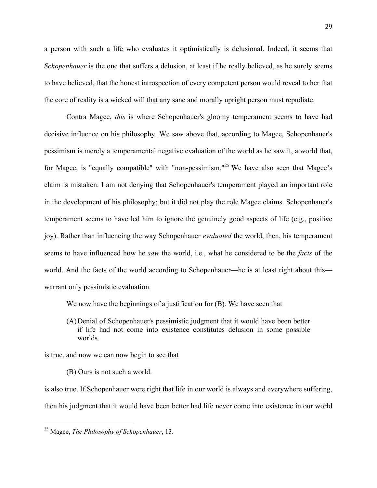a person with such a life who evaluates it optimistically is delusional. Indeed, it seems that *Schopenhauer* is the one that suffers a delusion, at least if he really believed, as he surely seems to have believed, that the honest introspection of every competent person would reveal to her that the core of reality is a wicked will that any sane and morally upright person must repudiate.

Contra Magee, *this* is where Schopenhauer's gloomy temperament seems to have had decisive influence on his philosophy. We saw above that, according to Magee, Schopenhauer's pessimism is merely a temperamental negative evaluation of the world as he saw it, a world that, for Magee, is "equally compatible" with "non-pessimism."<sup>25</sup> We have also seen that Magee's claim is mistaken. I am not denying that Schopenhauer's temperament played an important role in the development of his philosophy; but it did not play the role Magee claims. Schopenhauer's temperament seems to have led him to ignore the genuinely good aspects of life (e.g., positive joy). Rather than influencing the way Schopenhauer *evaluated* the world, then, his temperament seems to have influenced how he *saw* the world, i.e., what he considered to be the *facts* of the world. And the facts of the world according to Schopenhauer—he is at least right about this warrant only pessimistic evaluation.

We now have the beginnings of a justification for (B). We have seen that

(A)Denial of Schopenhauer's pessimistic judgment that it would have been better if life had not come into existence constitutes delusion in some possible worlds.

is true, and now we can now begin to see that

(B) Ours is not such a world.

is also true. If Schopenhauer were right that life in our world is always and everywhere suffering, then his judgment that it would have been better had life never come into existence in our world

 <sup>25</sup> Magee, *The Philosophy of Schopenhauer*, 13.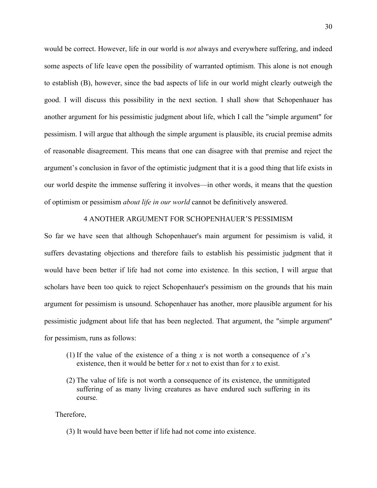would be correct. However, life in our world is *not* always and everywhere suffering, and indeed some aspects of life leave open the possibility of warranted optimism. This alone is not enough to establish (B), however, since the bad aspects of life in our world might clearly outweigh the good. I will discuss this possibility in the next section. I shall show that Schopenhauer has another argument for his pessimistic judgment about life, which I call the "simple argument" for pessimism. I will argue that although the simple argument is plausible, its crucial premise admits of reasonable disagreement. This means that one can disagree with that premise and reject the argument's conclusion in favor of the optimistic judgment that it is a good thing that life exists in our world despite the immense suffering it involves—in other words, it means that the question of optimism or pessimism *about life in our world* cannot be definitively answered.

### 4 ANOTHER ARGUMENT FOR SCHOPENHAUER'S PESSIMISM

So far we have seen that although Schopenhauer's main argument for pessimism is valid, it suffers devastating objections and therefore fails to establish his pessimistic judgment that it would have been better if life had not come into existence. In this section, I will argue that scholars have been too quick to reject Schopenhauer's pessimism on the grounds that his main argument for pessimism is unsound. Schopenhauer has another, more plausible argument for his pessimistic judgment about life that has been neglected. That argument, the "simple argument" for pessimism, runs as follows:

- (1) If the value of the existence of a thing  $x$  is not worth a consequence of  $x$ 's existence, then it would be better for *x* not to exist than for *x* to exist.
- (2) The value of life is not worth a consequence of its existence, the unmitigated suffering of as many living creatures as have endured such suffering in its course.

Therefore,

(3) It would have been better if life had not come into existence.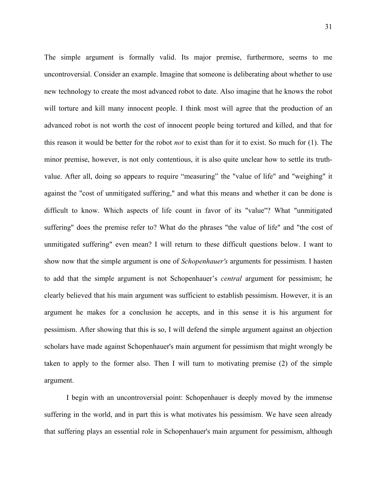The simple argument is formally valid. Its major premise, furthermore, seems to me uncontroversial. Consider an example. Imagine that someone is deliberating about whether to use new technology to create the most advanced robot to date. Also imagine that he knows the robot will torture and kill many innocent people. I think most will agree that the production of an advanced robot is not worth the cost of innocent people being tortured and killed, and that for this reason it would be better for the robot *not* to exist than for it to exist. So much for (1). The minor premise, however, is not only contentious, it is also quite unclear how to settle its truthvalue. After all, doing so appears to require "measuring" the "value of life" and "weighing" it against the "cost of unmitigated suffering," and what this means and whether it can be done is difficult to know. Which aspects of life count in favor of its "value"? What "unmitigated suffering" does the premise refer to? What do the phrases "the value of life" and "the cost of unmitigated suffering" even mean? I will return to these difficult questions below. I want to show now that the simple argument is one of *Schopenhauer's* arguments for pessimism. I hasten to add that the simple argument is not Schopenhauer's *central* argument for pessimism; he clearly believed that his main argument was sufficient to establish pessimism. However, it is an argument he makes for a conclusion he accepts, and in this sense it is his argument for pessimism. After showing that this is so, I will defend the simple argument against an objection scholars have made against Schopenhauer's main argument for pessimism that might wrongly be taken to apply to the former also. Then I will turn to motivating premise (2) of the simple argument.

I begin with an uncontroversial point: Schopenhauer is deeply moved by the immense suffering in the world, and in part this is what motivates his pessimism. We have seen already that suffering plays an essential role in Schopenhauer's main argument for pessimism, although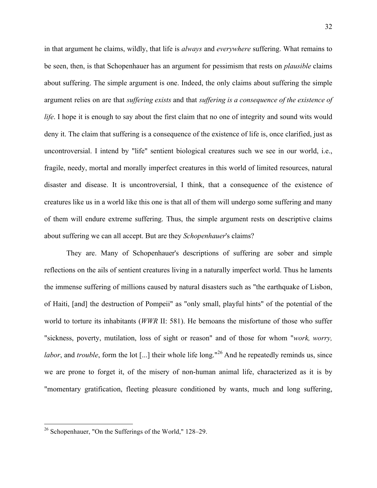in that argument he claims, wildly, that life is *always* and *everywhere* suffering. What remains to be seen, then, is that Schopenhauer has an argument for pessimism that rests on *plausible* claims about suffering. The simple argument is one. Indeed, the only claims about suffering the simple argument relies on are that *suffering exists* and that *suffering is a consequence of the existence of life*. I hope it is enough to say about the first claim that no one of integrity and sound wits would deny it. The claim that suffering is a consequence of the existence of life is, once clarified, just as uncontroversial. I intend by "life" sentient biological creatures such we see in our world, i.e., fragile, needy, mortal and morally imperfect creatures in this world of limited resources, natural disaster and disease. It is uncontroversial, I think, that a consequence of the existence of creatures like us in a world like this one is that all of them will undergo some suffering and many of them will endure extreme suffering. Thus, the simple argument rests on descriptive claims about suffering we can all accept. But are they *Schopenhauer*'s claims?

They are. Many of Schopenhauer's descriptions of suffering are sober and simple reflections on the ails of sentient creatures living in a naturally imperfect world. Thus he laments the immense suffering of millions caused by natural disasters such as "the earthquake of Lisbon, of Haiti, [and] the destruction of Pompeii" as "only small, playful hints" of the potential of the world to torture its inhabitants (*WWR* II: 581). He bemoans the misfortune of those who suffer "sickness, poverty, mutilation, loss of sight or reason" and of those for whom "*work, worry, labor*, and *trouble*, form the lot [...] their whole life long."<sup>26</sup> And he repeatedly reminds us, since we are prone to forget it, of the misery of non-human animal life, characterized as it is by "momentary gratification, fleeting pleasure conditioned by wants, much and long suffering,

 <sup>26</sup> Schopenhauer, "On the Sufferings of the World," 128–29.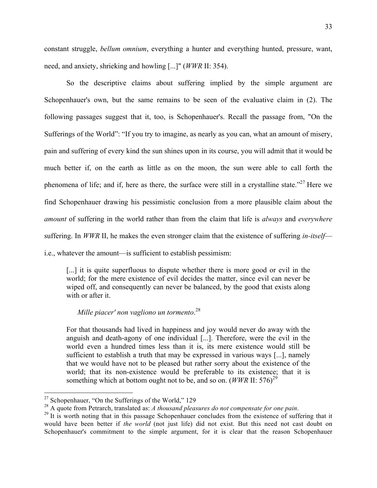constant struggle, *bellum omnium*, everything a hunter and everything hunted, pressure, want, need, and anxiety, shrieking and howling [...]" (*WWR* II: 354).

So the descriptive claims about suffering implied by the simple argument are Schopenhauer's own, but the same remains to be seen of the evaluative claim in (2). The following passages suggest that it, too, is Schopenhauer's. Recall the passage from, "On the Sufferings of the World": "If you try to imagine, as nearly as you can, what an amount of misery, pain and suffering of every kind the sun shines upon in its course, you will admit that it would be much better if, on the earth as little as on the moon, the sun were able to call forth the phenomena of life; and if, here as there, the surface were still in a crystalline state."<sup>27</sup> Here we find Schopenhauer drawing his pessimistic conclusion from a more plausible claim about the *amount* of suffering in the world rather than from the claim that life is *always* and *everywhere* suffering. In *WWR* II, he makes the even stronger claim that the existence of suffering *in-itself* i.e., whatever the amount—is sufficient to establish pessimism:

[...] it is quite superfluous to dispute whether there is more good or evil in the world; for the mere existence of evil decides the matter, since evil can never be wiped off, and consequently can never be balanced, by the good that exists along with or after it.

### *Mille piacer' non vagliono un tormento*. 28

For that thousands had lived in happiness and joy would never do away with the anguish and death-agony of one individual [...]. Therefore, were the evil in the world even a hundred times less than it is, its mere existence would still be sufficient to establish a truth that may be expressed in various ways [...], namely that we would have not to be pleased but rather sorry about the existence of the world; that its non-existence would be preferable to its existence; that it is something which at bottom ought not to be, and so on.  $(WWR \, II: 576)^{29}$ 

 $27$  Schopenhauer, "On the Sufferings of the World," 129

<sup>&</sup>lt;sup>28</sup> A quote from Petrarch, translated as: *A thousand pleasures do not compensate for one pain*.<br><sup>29</sup> It is worth noting that in this passage Schopenhauer concludes from the existence of suffering that it

would have been better if *the world* (not just life) did not exist. But this need not cast doubt on Schopenhauer's commitment to the simple argument, for it is clear that the reason Schopenhauer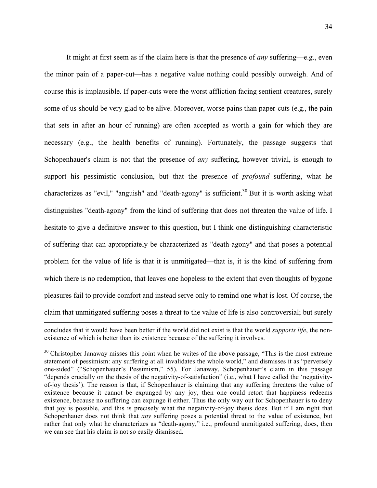It might at first seem as if the claim here is that the presence of *any* suffering—e.g., even the minor pain of a paper-cut—has a negative value nothing could possibly outweigh. And of course this is implausible. If paper-cuts were the worst affliction facing sentient creatures, surely some of us should be very glad to be alive. Moreover, worse pains than paper-cuts (e.g., the pain that sets in after an hour of running) are often accepted as worth a gain for which they are necessary (e.g., the health benefits of running). Fortunately, the passage suggests that Schopenhauer's claim is not that the presence of *any* suffering, however trivial, is enough to support his pessimistic conclusion, but that the presence of *profound* suffering, what he characterizes as "evil," "anguish" and "death-agony" is sufficient.<sup>30</sup> But it is worth asking what distinguishes "death-agony" from the kind of suffering that does not threaten the value of life. I hesitate to give a definitive answer to this question, but I think one distinguishing characteristic of suffering that can appropriately be characterized as "death-agony" and that poses a potential problem for the value of life is that it is unmitigated—that is, it is the kind of suffering from which there is no redemption, that leaves one hopeless to the extent that even thoughts of bygone pleasures fail to provide comfort and instead serve only to remind one what is lost. Of course, the claim that unmitigated suffering poses a threat to the value of life is also controversial; but surely

<u>.</u>

concludes that it would have been better if the world did not exist is that the world *supports life*, the nonexistence of which is better than its existence because of the suffering it involves.

 $30$  Christopher Janaway misses this point when he writes of the above passage, "This is the most extreme" statement of pessimism: any suffering at all invalidates the whole world," and dismisses it as "perversely one-sided" ("Schopenhauer's Pessimism," 55). For Janaway, Schopenhauer's claim in this passage "depends crucially on the thesis of the negativity-of-satisfaction" (i.e., what I have called the 'negativityof-joy thesis'). The reason is that, if Schopenhauer is claiming that any suffering threatens the value of existence because it cannot be expunged by any joy, then one could retort that happiness redeems existence, because no suffering can expunge it either. Thus the only way out for Schopenhauer is to deny that joy is possible, and this is precisely what the negativity-of-joy thesis does. But if I am right that Schopenhauer does not think that *any* suffering poses a potential threat to the value of existence, but rather that only what he characterizes as "death-agony," i.e., profound unmitigated suffering, does, then we can see that his claim is not so easily dismissed.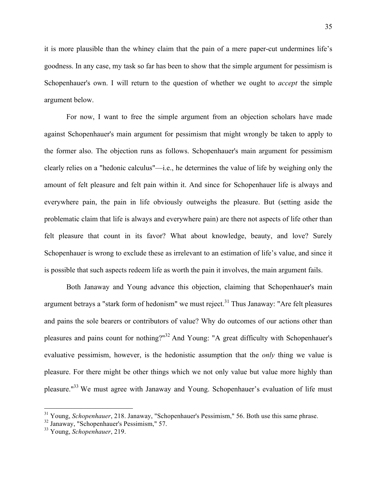it is more plausible than the whiney claim that the pain of a mere paper-cut undermines life's goodness. In any case, my task so far has been to show that the simple argument for pessimism is Schopenhauer's own. I will return to the question of whether we ought to *accept* the simple argument below.

For now, I want to free the simple argument from an objection scholars have made against Schopenhauer's main argument for pessimism that might wrongly be taken to apply to the former also. The objection runs as follows. Schopenhauer's main argument for pessimism clearly relies on a "hedonic calculus"—i.e., he determines the value of life by weighing only the amount of felt pleasure and felt pain within it. And since for Schopenhauer life is always and everywhere pain, the pain in life obviously outweighs the pleasure. But (setting aside the problematic claim that life is always and everywhere pain) are there not aspects of life other than felt pleasure that count in its favor? What about knowledge, beauty, and love? Surely Schopenhauer is wrong to exclude these as irrelevant to an estimation of life's value, and since it is possible that such aspects redeem life as worth the pain it involves, the main argument fails.

Both Janaway and Young advance this objection, claiming that Schopenhauer's main argument betrays a "stark form of hedonism" we must reject.<sup>31</sup> Thus Janaway: "Are felt pleasures and pains the sole bearers or contributors of value? Why do outcomes of our actions other than pleasures and pains count for nothing?"<sup>32</sup> And Young: "A great difficulty with Schopenhauer's evaluative pessimism, however, is the hedonistic assumption that the *only* thing we value is pleasure. For there might be other things which we not only value but value more highly than pleasure."33 We must agree with Janaway and Young. Schopenhauer's evaluation of life must

<sup>&</sup>lt;sup>31</sup> Young, *Schopenhauer*, 218. Janaway, "Schopenhauer's Pessimism," 56. Both use this same phrase.

<sup>32</sup> Janaway, "Schopenhauer's Pessimism," 57.

<sup>33</sup> Young, *Schopenhauer*, 219.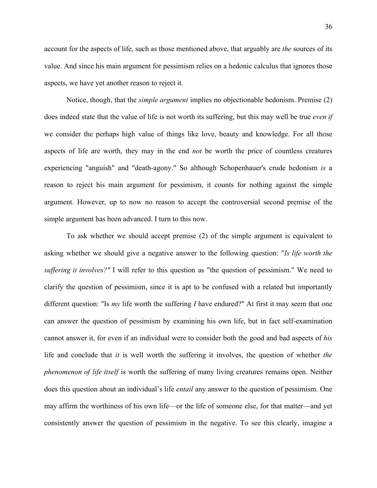account for the aspects of life, such as those mentioned above, that arguably are *the* sources of its value. And since his main argument for pessimism relies on a hedonic calculus that ignores those aspects, we have yet another reason to reject it.

Notice, though, that the *simple argument* implies no objectionable hedonism. Premise (2) does indeed state that the value of life is not worth its suffering, but this may well be true *even if* we consider the perhaps high value of things like love, beauty and knowledge. For all those aspects of life are worth, they may in the end *not* be worth the price of countless creatures experiencing "anguish" and "death-agony." So although Schopenhauer's crude hedonism *is* a reason to reject his main argument for pessimism, it counts for nothing against the simple argument. However, up to now no reason to accept the controversial second premise of the simple argument has been advanced. I turn to this now.

To ask whether we should accept premise (2) of the simple argument is equivalent to asking whether we should give a negative answer to the following question: "*Is life worth the suffering it involves?"* I will refer to this question as "the question of pessimism." We need to clarify the question of pessimism, since it is apt to be confused with a related but importantly different question: "Is *my* life worth the suffering *I* have endured?" At first it may seem that one can answer the question of pessimism by examining his own life, but in fact self-examination cannot answer it, for even if an individual were to consider both the good and bad aspects of *his* life and conclude that *it* is well worth the suffering it involves, the question of whether *the phenomenon of life itself* is worth the suffering of many living creatures remains open. Neither does this question about an individual's life *entail* any answer to the question of pessimism. One may affirm the worthiness of his own life—or the life of someone else, for that matter—and yet consistently answer the question of pessimism in the negative. To see this clearly, imagine a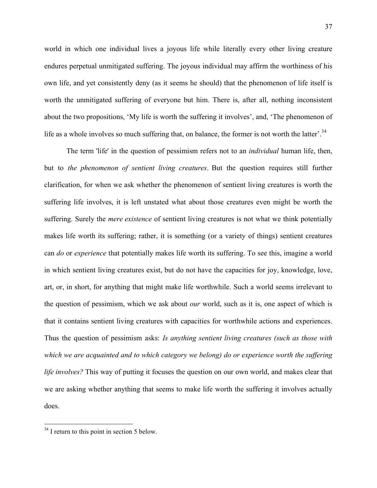world in which one individual lives a joyous life while literally every other living creature endures perpetual unmitigated suffering. The joyous individual may affirm the worthiness of his own life, and yet consistently deny (as it seems he should) that the phenomenon of life itself is worth the unmitigated suffering of everyone but him. There is, after all, nothing inconsistent about the two propositions, 'My life is worth the suffering it involves', and, 'The phenomenon of life as a whole involves so much suffering that, on balance, the former is not worth the latter'.<sup>34</sup>

The term 'life' in the question of pessimism refers not to an *individual* human life, then, but to *the phenomenon of sentient living creatures*. But the question requires still further clarification, for when we ask whether the phenomenon of sentient living creatures is worth the suffering life involves, it is left unstated what about those creatures even might be worth the suffering. Surely the *mere existence* of sentient living creatures is not what we think potentially makes life worth its suffering; rather, it is something (or a variety of things) sentient creatures can *do* or *experience* that potentially makes life worth its suffering. To see this, imagine a world in which sentient living creatures exist, but do not have the capacities for joy, knowledge, love, art, or, in short, for anything that might make life worthwhile. Such a world seems irrelevant to the question of pessimism, which we ask about *our* world, such as it is, one aspect of which is that it contains sentient living creatures with capacities for worthwhile actions and experiences. Thus the question of pessimism asks: *Is anything sentient living creatures (such as those with which we are acquainted and to which category we belong) do or experience worth the suffering life involves?* This way of putting it focuses the question on our own world, and makes clear that we are asking whether anything that seems to make life worth the suffering it involves actually does.

<sup>&</sup>lt;sup>34</sup> I return to this point in section 5 below.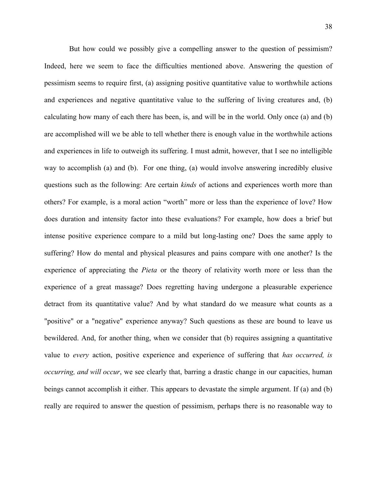But how could we possibly give a compelling answer to the question of pessimism? Indeed, here we seem to face the difficulties mentioned above. Answering the question of pessimism seems to require first, (a) assigning positive quantitative value to worthwhile actions and experiences and negative quantitative value to the suffering of living creatures and, (b) calculating how many of each there has been, is, and will be in the world. Only once (a) and (b) are accomplished will we be able to tell whether there is enough value in the worthwhile actions and experiences in life to outweigh its suffering. I must admit, however, that I see no intelligible way to accomplish (a) and (b). For one thing, (a) would involve answering incredibly elusive questions such as the following: Are certain *kinds* of actions and experiences worth more than others? For example, is a moral action "worth" more or less than the experience of love? How does duration and intensity factor into these evaluations? For example, how does a brief but intense positive experience compare to a mild but long-lasting one? Does the same apply to suffering? How do mental and physical pleasures and pains compare with one another? Is the experience of appreciating the *Pieta* or the theory of relativity worth more or less than the experience of a great massage? Does regretting having undergone a pleasurable experience detract from its quantitative value? And by what standard do we measure what counts as a "positive" or a "negative" experience anyway? Such questions as these are bound to leave us bewildered. And, for another thing, when we consider that (b) requires assigning a quantitative value to *every* action, positive experience and experience of suffering that *has occurred, is occurring, and will occur*, we see clearly that, barring a drastic change in our capacities, human beings cannot accomplish it either. This appears to devastate the simple argument. If (a) and (b) really are required to answer the question of pessimism, perhaps there is no reasonable way to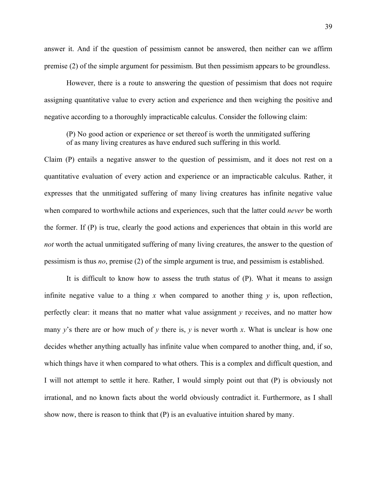answer it. And if the question of pessimism cannot be answered, then neither can we affirm premise (2) of the simple argument for pessimism. But then pessimism appears to be groundless.

However, there is a route to answering the question of pessimism that does not require assigning quantitative value to every action and experience and then weighing the positive and negative according to a thoroughly impracticable calculus. Consider the following claim:

(P) No good action or experience or set thereof is worth the unmitigated suffering of as many living creatures as have endured such suffering in this world.

Claim (P) entails a negative answer to the question of pessimism, and it does not rest on a quantitative evaluation of every action and experience or an impracticable calculus. Rather, it expresses that the unmitigated suffering of many living creatures has infinite negative value when compared to worthwhile actions and experiences, such that the latter could *never* be worth the former. If (P) is true, clearly the good actions and experiences that obtain in this world are *not* worth the actual unmitigated suffering of many living creatures, the answer to the question of pessimism is thus *no*, premise (2) of the simple argument is true, and pessimism is established.

It is difficult to know how to assess the truth status of (P). What it means to assign infinite negative value to a thing  $x$  when compared to another thing  $y$  is, upon reflection, perfectly clear: it means that no matter what value assignment *y* receives, and no matter how many  $y'$ 's there are or how much of  $y$  there is,  $y$  is never worth  $x$ . What is unclear is how one decides whether anything actually has infinite value when compared to another thing, and, if so, which things have it when compared to what others. This is a complex and difficult question, and I will not attempt to settle it here. Rather, I would simply point out that (P) is obviously not irrational, and no known facts about the world obviously contradict it. Furthermore, as I shall show now, there is reason to think that (P) is an evaluative intuition shared by many.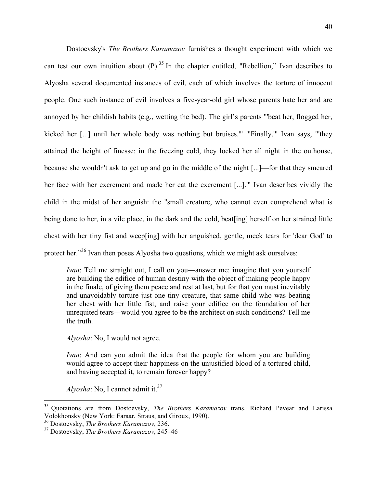Dostoevsky's *The Brothers Karamazov* furnishes a thought experiment with which we can test our own intuition about  $(P)$ .<sup>35</sup> In the chapter entitled, "Rebellion," Ivan describes to Alyosha several documented instances of evil, each of which involves the torture of innocent people. One such instance of evil involves a five-year-old girl whose parents hate her and are annoyed by her childish habits (e.g., wetting the bed). The girl's parents "'beat her, flogged her, kicked her [...] until her whole body was nothing but bruises.'" "'Finally,'" Ivan says, "'they attained the height of finesse: in the freezing cold, they locked her all night in the outhouse, because she wouldn't ask to get up and go in the middle of the night [...]—for that they smeared her face with her excrement and made her eat the excrement [...].'" Ivan describes vividly the child in the midst of her anguish: the "small creature, who cannot even comprehend what is being done to her, in a vile place, in the dark and the cold, beat [ing] herself on her strained little chest with her tiny fist and weep[ing] with her anguished, gentle, meek tears for 'dear God' to protect her."<sup>36</sup> Ivan then poses Alyosha two questions, which we might ask ourselves:

*Ivan*: Tell me straight out, I call on you—answer me: imagine that you yourself are building the edifice of human destiny with the object of making people happy in the finale, of giving them peace and rest at last, but for that you must inevitably and unavoidably torture just one tiny creature, that same child who was beating her chest with her little fist, and raise your edifice on the foundation of her unrequited tears—would you agree to be the architect on such conditions? Tell me the truth.

*Alyosha*: No, I would not agree.

*Ivan*: And can you admit the idea that the people for whom you are building would agree to accept their happiness on the unjustified blood of a tortured child, and having accepted it, to remain forever happy?

*Alyosha*: No, I cannot admit it.<sup>37</sup>

 <sup>35</sup> Quotations are from Dostoevsky, *The Brothers Karamazov* trans. Richard Pevear and Larissa Volokhonsky (New York: Faraar, Straus, and Giroux, 1990).

<sup>36</sup> Dostoevsky, *The Brothers Karamazov*, 236.

<sup>37</sup> Dostoevsky, *The Brothers Karamazov*, 245–46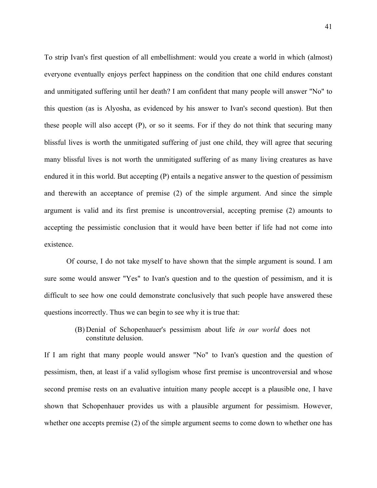To strip Ivan's first question of all embellishment: would you create a world in which (almost) everyone eventually enjoys perfect happiness on the condition that one child endures constant and unmitigated suffering until her death? I am confident that many people will answer "No" to this question (as is Alyosha, as evidenced by his answer to Ivan's second question). But then these people will also accept (P), or so it seems. For if they do not think that securing many blissful lives is worth the unmitigated suffering of just one child, they will agree that securing many blissful lives is not worth the unmitigated suffering of as many living creatures as have endured it in this world. But accepting (P) entails a negative answer to the question of pessimism and therewith an acceptance of premise (2) of the simple argument. And since the simple argument is valid and its first premise is uncontroversial, accepting premise (2) amounts to accepting the pessimistic conclusion that it would have been better if life had not come into existence.

Of course, I do not take myself to have shown that the simple argument is sound. I am sure some would answer "Yes" to Ivan's question and to the question of pessimism, and it is difficult to see how one could demonstrate conclusively that such people have answered these questions incorrectly. Thus we can begin to see why it is true that:

> (B) Denial of Schopenhauer's pessimism about life *in our world* does not constitute delusion.

If I am right that many people would answer "No" to Ivan's question and the question of pessimism, then, at least if a valid syllogism whose first premise is uncontroversial and whose second premise rests on an evaluative intuition many people accept is a plausible one, I have shown that Schopenhauer provides us with a plausible argument for pessimism. However, whether one accepts premise (2) of the simple argument seems to come down to whether one has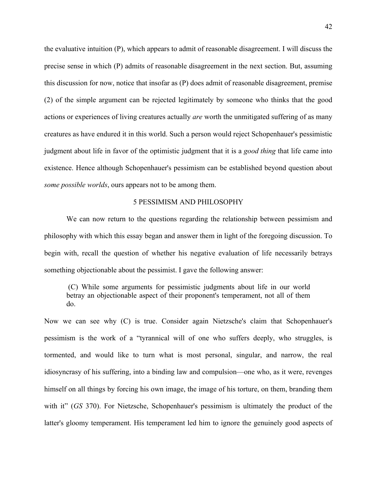the evaluative intuition (P), which appears to admit of reasonable disagreement. I will discuss the precise sense in which (P) admits of reasonable disagreement in the next section. But, assuming this discussion for now, notice that insofar as (P) does admit of reasonable disagreement, premise (2) of the simple argument can be rejected legitimately by someone who thinks that the good actions or experiences of living creatures actually *are* worth the unmitigated suffering of as many creatures as have endured it in this world. Such a person would reject Schopenhauer's pessimistic judgment about life in favor of the optimistic judgment that it is a *good thing* that life came into existence. Hence although Schopenhauer's pessimism can be established beyond question about *some possible worlds*, ours appears not to be among them.

#### 5 PESSIMISM AND PHILOSOPHY

We can now return to the questions regarding the relationship between pessimism and philosophy with which this essay began and answer them in light of the foregoing discussion. To begin with, recall the question of whether his negative evaluation of life necessarily betrays something objectionable about the pessimist. I gave the following answer:

(C) While some arguments for pessimistic judgments about life in our world betray an objectionable aspect of their proponent's temperament, not all of them do.

Now we can see why (C) is true. Consider again Nietzsche's claim that Schopenhauer's pessimism is the work of a "tyrannical will of one who suffers deeply, who struggles, is tormented, and would like to turn what is most personal, singular, and narrow, the real idiosyncrasy of his suffering, into a binding law and compulsion—one who, as it were, revenges himself on all things by forcing his own image, the image of his torture, on them, branding them with it" (*GS* 370). For Nietzsche, Schopenhauer's pessimism is ultimately the product of the latter's gloomy temperament. His temperament led him to ignore the genuinely good aspects of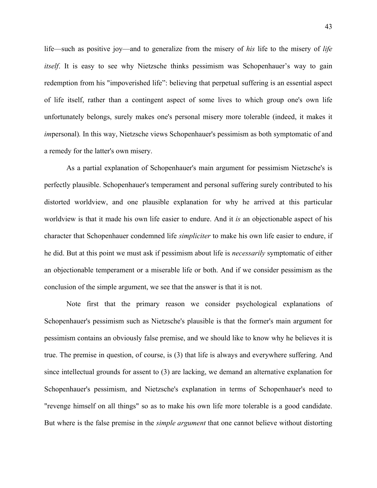life—such as positive joy—and to generalize from the misery of *his* life to the misery of *life itself*. It is easy to see why Nietzsche thinks pessimism was Schopenhauer's way to gain redemption from his "impoverished life": believing that perpetual suffering is an essential aspect of life itself, rather than a contingent aspect of some lives to which group one's own life unfortunately belongs, surely makes one's personal misery more tolerable (indeed, it makes it *im*personal)*.* In this way, Nietzsche views Schopenhauer's pessimism as both symptomatic of and a remedy for the latter's own misery.

As a partial explanation of Schopenhauer's main argument for pessimism Nietzsche's is perfectly plausible. Schopenhauer's temperament and personal suffering surely contributed to his distorted worldview, and one plausible explanation for why he arrived at this particular worldview is that it made his own life easier to endure. And it *is* an objectionable aspect of his character that Schopenhauer condemned life *simpliciter* to make his own life easier to endure, if he did. But at this point we must ask if pessimism about life is *necessarily* symptomatic of either an objectionable temperament or a miserable life or both. And if we consider pessimism as the conclusion of the simple argument, we see that the answer is that it is not.

Note first that the primary reason we consider psychological explanations of Schopenhauer's pessimism such as Nietzsche's plausible is that the former's main argument for pessimism contains an obviously false premise, and we should like to know why he believes it is true. The premise in question, of course, is (3) that life is always and everywhere suffering. And since intellectual grounds for assent to (3) are lacking, we demand an alternative explanation for Schopenhauer's pessimism, and Nietzsche's explanation in terms of Schopenhauer's need to "revenge himself on all things" so as to make his own life more tolerable is a good candidate. But where is the false premise in the *simple argument* that one cannot believe without distorting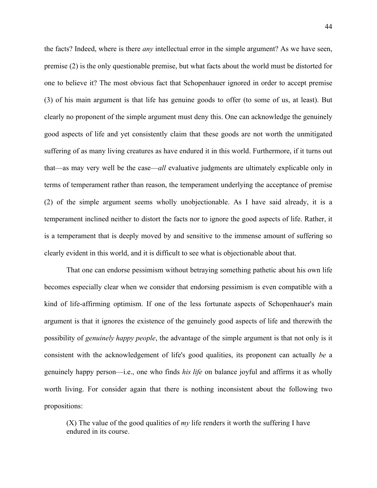the facts? Indeed, where is there *any* intellectual error in the simple argument? As we have seen, premise (2) is the only questionable premise, but what facts about the world must be distorted for one to believe it? The most obvious fact that Schopenhauer ignored in order to accept premise (3) of his main argument is that life has genuine goods to offer (to some of us, at least). But clearly no proponent of the simple argument must deny this. One can acknowledge the genuinely good aspects of life and yet consistently claim that these goods are not worth the unmitigated suffering of as many living creatures as have endured it in this world. Furthermore, if it turns out that—as may very well be the case—*all* evaluative judgments are ultimately explicable only in terms of temperament rather than reason, the temperament underlying the acceptance of premise (2) of the simple argument seems wholly unobjectionable. As I have said already, it is a temperament inclined neither to distort the facts nor to ignore the good aspects of life. Rather, it is a temperament that is deeply moved by and sensitive to the immense amount of suffering so clearly evident in this world, and it is difficult to see what is objectionable about that.

That one can endorse pessimism without betraying something pathetic about his own life becomes especially clear when we consider that endorsing pessimism is even compatible with a kind of life-affirming optimism. If one of the less fortunate aspects of Schopenhauer's main argument is that it ignores the existence of the genuinely good aspects of life and therewith the possibility of *genuinely happy people*, the advantage of the simple argument is that not only is it consistent with the acknowledgement of life's good qualities, its proponent can actually *be* a genuinely happy person—i.e., one who finds *his life* on balance joyful and affirms it as wholly worth living. For consider again that there is nothing inconsistent about the following two propositions:

(X) The value of the good qualities of *my* life renders it worth the suffering I have endured in its course.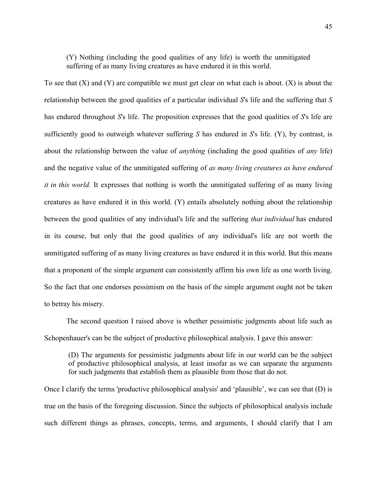(Y) Nothing (including the good qualities of any life) is worth the unmitigated suffering of as many living creatures as have endured it in this world.

To see that  $(X)$  and  $(Y)$  are compatible we must get clear on what each is about.  $(X)$  is about the relationship between the good qualities of a particular individual *S*'s life and the suffering that *S* has endured throughout *S*'s life. The proposition expresses that the good qualities of *S*'s life are sufficiently good to outweigh whatever suffering *S* has endured in *S*'s life. (Y), by contrast, is about the relationship between the value of *anything* (including the good qualities of *any* life) and the negative value of the unmitigated suffering of *as many living creatures as have endured it in this world.* It expresses that nothing is worth the unmitigated suffering of as many living creatures as have endured it in this world. (Y) entails absolutely nothing about the relationship between the good qualities of any individual's life and the suffering *that individual* has endured in its course, but only that the good qualities of any individual's life are not worth the unmitigated suffering of as many living creatures as have endured it in this world. But this means that a proponent of the simple argument can consistently affirm his own life as one worth living. So the fact that one endorses pessimism on the basis of the simple argument ought not be taken to betray his misery.

The second question I raised above is whether pessimistic judgments about life such as Schopenhauer's can be the subject of productive philosophical analysis. I gave this answer:

(D) The arguments for pessimistic judgments about life in our world can be the subject of productive philosophical analysis, at least insofar as we can separate the arguments for such judgments that establish them as plausible from those that do not.

Once I clarify the terms 'productive philosophical analysis' and 'plausible', we can see that (D) is true on the basis of the foregoing discussion. Since the subjects of philosophical analysis include such different things as phrases, concepts, terms, and arguments, I should clarify that I am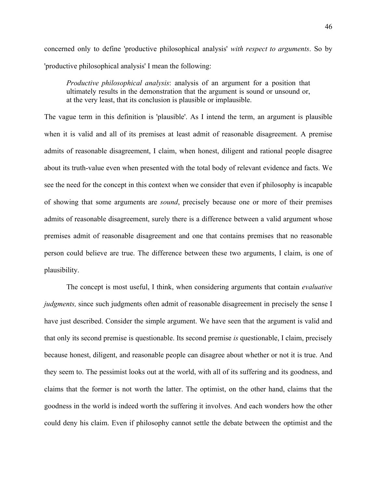concerned only to define 'productive philosophical analysis' *with respect to arguments*. So by 'productive philosophical analysis' I mean the following:

*Productive philosophical analysis*: analysis of an argument for a position that ultimately results in the demonstration that the argument is sound or unsound or, at the very least, that its conclusion is plausible or implausible.

The vague term in this definition is 'plausible'. As I intend the term, an argument is plausible when it is valid and all of its premises at least admit of reasonable disagreement. A premise admits of reasonable disagreement, I claim, when honest, diligent and rational people disagree about its truth-value even when presented with the total body of relevant evidence and facts. We see the need for the concept in this context when we consider that even if philosophy is incapable of showing that some arguments are *sound*, precisely because one or more of their premises admits of reasonable disagreement, surely there is a difference between a valid argument whose premises admit of reasonable disagreement and one that contains premises that no reasonable person could believe are true. The difference between these two arguments, I claim, is one of plausibility.

The concept is most useful, I think, when considering arguments that contain *evaluative judgments*, since such judgments often admit of reasonable disagreement in precisely the sense I have just described. Consider the simple argument. We have seen that the argument is valid and that only its second premise is questionable. Its second premise *is* questionable, I claim, precisely because honest, diligent, and reasonable people can disagree about whether or not it is true. And they seem to. The pessimist looks out at the world, with all of its suffering and its goodness, and claims that the former is not worth the latter. The optimist, on the other hand, claims that the goodness in the world is indeed worth the suffering it involves. And each wonders how the other could deny his claim. Even if philosophy cannot settle the debate between the optimist and the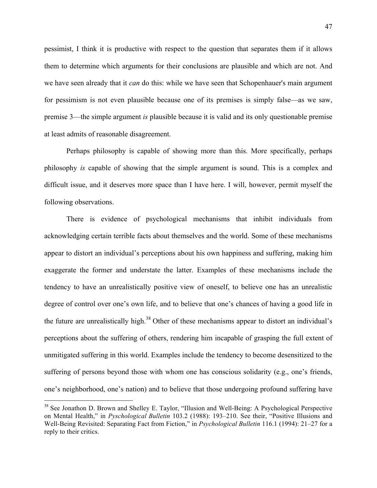pessimist, I think it is productive with respect to the question that separates them if it allows them to determine which arguments for their conclusions are plausible and which are not. And we have seen already that it *can* do this: while we have seen that Schopenhauer's main argument for pessimism is not even plausible because one of its premises is simply false—as we saw, premise 3—the simple argument *is* plausible because it is valid and its only questionable premise at least admits of reasonable disagreement.

Perhaps philosophy is capable of showing more than this. More specifically, perhaps philosophy *is* capable of showing that the simple argument is sound. This is a complex and difficult issue, and it deserves more space than I have here. I will, however, permit myself the following observations.

There is evidence of psychological mechanisms that inhibit individuals from acknowledging certain terrible facts about themselves and the world. Some of these mechanisms appear to distort an individual's perceptions about his own happiness and suffering, making him exaggerate the former and understate the latter. Examples of these mechanisms include the tendency to have an unrealistically positive view of oneself, to believe one has an unrealistic degree of control over one's own life, and to believe that one's chances of having a good life in the future are unrealistically high.<sup>38</sup> Other of these mechanisms appear to distort an individual's perceptions about the suffering of others, rendering him incapable of grasping the full extent of unmitigated suffering in this world. Examples include the tendency to become desensitized to the suffering of persons beyond those with whom one has conscious solidarity (e.g., one's friends, one's neighborhood, one's nation) and to believe that those undergoing profound suffering have

<sup>&</sup>lt;sup>38</sup> See Jonathon D. Brown and Shelley E. Taylor, "Illusion and Well-Being: A Psychological Perspective on Mental Health," in *Pyschological Bulletin* 103.2 (1988): 193–210. See their, "Positive Illusions and Well-Being Revisited: Separating Fact from Fiction," in *Psychological Bulletin* 116.1 (1994): 21–27 for a reply to their critics.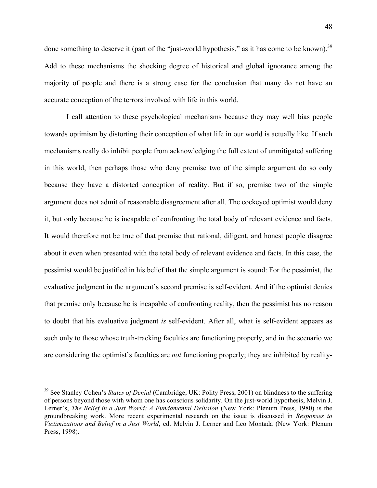done something to deserve it (part of the "just-world hypothesis," as it has come to be known).<sup>39</sup> Add to these mechanisms the shocking degree of historical and global ignorance among the majority of people and there is a strong case for the conclusion that many do not have an accurate conception of the terrors involved with life in this world.

I call attention to these psychological mechanisms because they may well bias people towards optimism by distorting their conception of what life in our world is actually like. If such mechanisms really do inhibit people from acknowledging the full extent of unmitigated suffering in this world, then perhaps those who deny premise two of the simple argument do so only because they have a distorted conception of reality. But if so, premise two of the simple argument does not admit of reasonable disagreement after all. The cockeyed optimist would deny it, but only because he is incapable of confronting the total body of relevant evidence and facts. It would therefore not be true of that premise that rational, diligent, and honest people disagree about it even when presented with the total body of relevant evidence and facts. In this case, the pessimist would be justified in his belief that the simple argument is sound: For the pessimist, the evaluative judgment in the argument's second premise is self-evident. And if the optimist denies that premise only because he is incapable of confronting reality, then the pessimist has no reason to doubt that his evaluative judgment *is* self-evident. After all, what is self-evident appears as such only to those whose truth-tracking faculties are functioning properly, and in the scenario we are considering the optimist's faculties are *not* functioning properly; they are inhibited by reality-

 <sup>39</sup> See Stanley Cohen's *States of Denial* (Cambridge, UK: Polity Press, 2001) on blindness to the suffering of persons beyond those with whom one has conscious solidarity. On the just-world hypothesis, Melvin J. Lerner's, *The Belief in a Just World: A Fundamental Delusion* (New York: Plenum Press, 1980) is the groundbreaking work. More recent experimental research on the issue is discussed in *Responses to Victimizations and Belief in a Just World*, ed. Melvin J. Lerner and Leo Montada (New York: Plenum Press, 1998).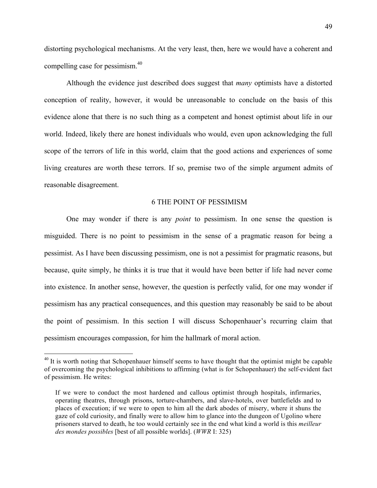distorting psychological mechanisms. At the very least, then, here we would have a coherent and compelling case for pessimism.40

Although the evidence just described does suggest that *many* optimists have a distorted conception of reality, however, it would be unreasonable to conclude on the basis of this evidence alone that there is no such thing as a competent and honest optimist about life in our world. Indeed, likely there are honest individuals who would, even upon acknowledging the full scope of the terrors of life in this world, claim that the good actions and experiences of some living creatures are worth these terrors. If so, premise two of the simple argument admits of reasonable disagreement.

#### 6 THE POINT OF PESSIMISM

One may wonder if there is any *point* to pessimism. In one sense the question is misguided. There is no point to pessimism in the sense of a pragmatic reason for being a pessimist. As I have been discussing pessimism, one is not a pessimist for pragmatic reasons, but because, quite simply, he thinks it is true that it would have been better if life had never come into existence. In another sense, however, the question is perfectly valid, for one may wonder if pessimism has any practical consequences, and this question may reasonably be said to be about the point of pessimism. In this section I will discuss Schopenhauer's recurring claim that pessimism encourages compassion, for him the hallmark of moral action.

<sup>&</sup>lt;sup>40</sup> It is worth noting that Schopenhauer himself seems to have thought that the optimist might be capable of overcoming the psychological inhibitions to affirming (what is for Schopenhauer) the self-evident fact of pessimism. He writes:

If we were to conduct the most hardened and callous optimist through hospitals, infirmaries, operating theatres, through prisons, torture-chambers, and slave-hotels, over battlefields and to places of execution; if we were to open to him all the dark abodes of misery, where it shuns the gaze of cold curiosity, and finally were to allow him to glance into the dungeon of Ugolino where prisoners starved to death, he too would certainly see in the end what kind a world is this *meilleur des mondes possibles* [best of all possible worlds]. (*WWR* I: 325)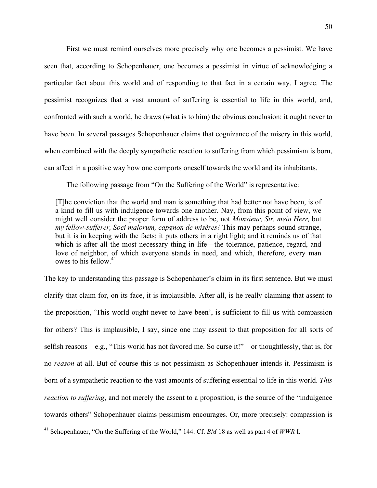First we must remind ourselves more precisely why one becomes a pessimist. We have seen that, according to Schopenhauer, one becomes a pessimist in virtue of acknowledging a particular fact about this world and of responding to that fact in a certain way. I agree. The pessimist recognizes that a vast amount of suffering is essential to life in this world, and, confronted with such a world, he draws (what is to him) the obvious conclusion: it ought never to have been. In several passages Schopenhauer claims that cognizance of the misery in this world, when combined with the deeply sympathetic reaction to suffering from which pessimism is born, can affect in a positive way how one comports oneself towards the world and its inhabitants.

The following passage from "On the Suffering of the World" is representative:

[T]he conviction that the world and man is something that had better not have been, is of a kind to fill us with indulgence towards one another. Nay, from this point of view, we might well consider the proper form of address to be, not *Monsieur, Sir, mein Herr,* but *my fellow-sufferer, Soci malorum, capgnon de misères!* This may perhaps sound strange, but it is in keeping with the facts; it puts others in a right light; and it reminds us of that which is after all the most necessary thing in life—the tolerance, patience, regard, and love of neighbor, of which everyone stands in need, and which, therefore, every man owes to his fellow. $41$ 

The key to understanding this passage is Schopenhauer's claim in its first sentence. But we must clarify that claim for, on its face, it is implausible. After all, is he really claiming that assent to the proposition, 'This world ought never to have been', is sufficient to fill us with compassion for others? This is implausible, I say, since one may assent to that proposition for all sorts of selfish reasons—e.g., "This world has not favored me. So curse it!"—or thoughtlessly, that is, for no *reason* at all. But of course this is not pessimism as Schopenhauer intends it. Pessimism is born of a sympathetic reaction to the vast amounts of suffering essential to life in this world. *This reaction to suffering*, and not merely the assent to a proposition, is the source of the "indulgence" towards others" Schopenhauer claims pessimism encourages. Or, more precisely: compassion is

 <sup>41</sup> Schopenhauer, "On the Suffering of the World," 144. Cf. *BM* <sup>18</sup> as well as part <sup>4</sup> of *WWR* I.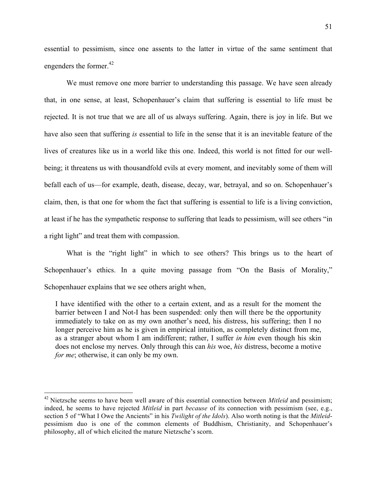essential to pessimism, since one assents to the latter in virtue of the same sentiment that engenders the former. $42$ 

We must remove one more barrier to understanding this passage. We have seen already that, in one sense, at least, Schopenhauer's claim that suffering is essential to life must be rejected. It is not true that we are all of us always suffering. Again, there is joy in life. But we have also seen that suffering *is* essential to life in the sense that it is an inevitable feature of the lives of creatures like us in a world like this one. Indeed, this world is not fitted for our wellbeing; it threatens us with thousandfold evils at every moment, and inevitably some of them will befall each of us—for example, death, disease, decay, war, betrayal, and so on. Schopenhauer's claim, then, is that one for whom the fact that suffering is essential to life is a living conviction, at least if he has the sympathetic response to suffering that leads to pessimism, will see others "in a right light" and treat them with compassion.

What is the "right light" in which to see others? This brings us to the heart of Schopenhauer's ethics. In a quite moving passage from "On the Basis of Morality," Schopenhauer explains that we see others aright when,

I have identified with the other to a certain extent, and as a result for the moment the barrier between I and Not-I has been suspended: only then will there be the opportunity immediately to take on as my own another's need, his distress, his suffering; then I no longer perceive him as he is given in empirical intuition, as completely distinct from me, as a stranger about whom I am indifferent; rather, I suffer *in him* even though his skin does not enclose my nerves. Only through this can *his* woe, *his* distress, become a motive *for me*; otherwise, it can only be my own.

<sup>&</sup>lt;sup>42</sup> Nietzsche seems to have been well aware of this essential connection between *Mitleid* and pessimism; indeed, he seems to have rejected *Mitleid* in part *because* of its connection with pessimism (see, e.g., section 5 of "What I Owe the Ancients" in his *Twilight of the Idols*). Also worth noting is that the *Mitleid*pessimism duo is one of the common elements of Buddhism, Christianity, and Schopenhauer's philosophy, all of which elicited the mature Nietzsche's scorn.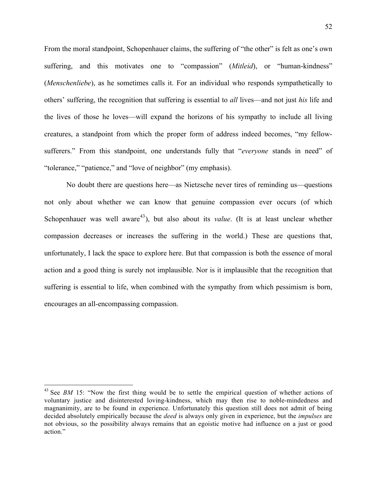From the moral standpoint, Schopenhauer claims, the suffering of "the other" is felt as one's own suffering, and this motivates one to "compassion" (*Mitleid*), or "human-kindness" (*Menschenliebe*), as he sometimes calls it. For an individual who responds sympathetically to others' suffering, the recognition that suffering is essential to *all* lives—and not just *his* life and the lives of those he loves—will expand the horizons of his sympathy to include all living creatures, a standpoint from which the proper form of address indeed becomes, "my fellowsufferers." From this standpoint, one understands fully that "*everyone* stands in need" of "tolerance," "patience," and "love of neighbor" (my emphasis).

No doubt there are questions here—as Nietzsche never tires of reminding us—questions not only about whether we can know that genuine compassion ever occurs (of which Schopenhauer was well aware<sup>43</sup>), but also about its *value*. (It is at least unclear whether compassion decreases or increases the suffering in the world.) These are questions that, unfortunately, I lack the space to explore here. But that compassion is both the essence of moral action and a good thing is surely not implausible. Nor is it implausible that the recognition that suffering is essential to life, when combined with the sympathy from which pessimism is born, encourages an all-encompassing compassion.

<sup>&</sup>lt;sup>43</sup> See *BM* 15: "Now the first thing would be to settle the empirical question of whether actions of voluntary justice and disinterested loving-kindness, which may then rise to noble-mindedness and magnanimity, are to be found in experience. Unfortunately this question still does not admit of being decided absolutely empirically because the *deed* is always only given in experience, but the *impulses* are not obvious, so the possibility always remains that an egoistic motive had influence on a just or good action."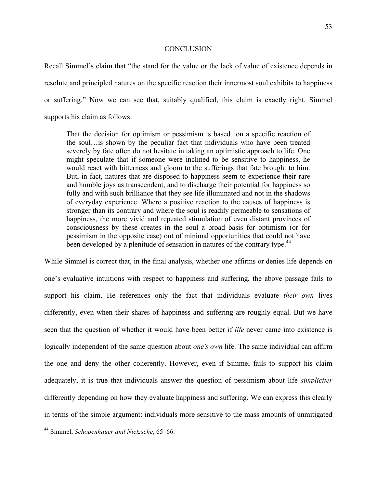#### **CONCLUSION**

Recall Simmel's claim that "the stand for the value or the lack of value of existence depends in resolute and principled natures on the specific reaction their innermost soul exhibits to happiness or suffering." Now we can see that, suitably qualified, this claim is exactly right. Simmel supports his claim as follows:

That the decision for optimism or pessimism is based...on a specific reaction of the soul…is shown by the peculiar fact that individuals who have been treated severely by fate often do not hesitate in taking an optimistic approach to life. One might speculate that if someone were inclined to be sensitive to happiness, he would react with bitterness and gloom to the sufferings that fate brought to him. But, in fact, natures that are disposed to happiness seem to experience their rare and humble joys as transcendent, and to discharge their potential for happiness so fully and with such brilliance that they see life illuminated and not in the shadows of everyday experience. Where a positive reaction to the causes of happiness is stronger than its contrary and where the soul is readily permeable to sensations of happiness, the more vivid and repeated stimulation of even distant provinces of consciousness by these creates in the soul a broad basis for optimism (or for pessimism in the opposite case) out of minimal opportunities that could not have been developed by a plenitude of sensation in natures of the contrary type.<sup>44</sup>

While Simmel is correct that, in the final analysis, whether one affirms or denies life depends on one's evaluative intuitions with respect to happiness and suffering, the above passage fails to support his claim. He references only the fact that individuals evaluate *their own* lives differently, even when their shares of happiness and suffering are roughly equal. But we have seen that the question of whether it would have been better if *life* never came into existence is logically independent of the same question about *one's own* life. The same individual can affirm the one and deny the other coherently. However, even if Simmel fails to support his claim adequately, it is true that individuals answer the question of pessimism about life *simpliciter* differently depending on how they evaluate happiness and suffering. We can express this clearly in terms of the simple argument: individuals more sensitive to the mass amounts of unmitigated

 <sup>44</sup> Simmel, *Schopenhauer and Nietzsche*, 65–66.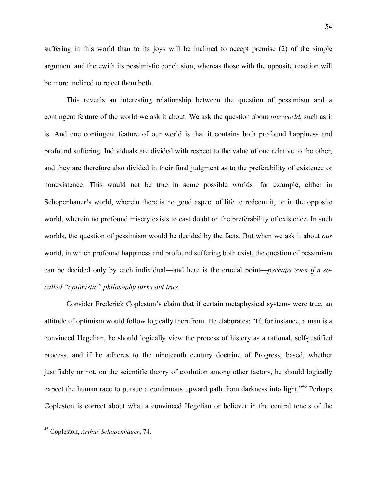suffering in this world than to its joys will be inclined to accept premise (2) of the simple argument and therewith its pessimistic conclusion, whereas those with the opposite reaction will be more inclined to reject them both.

This reveals an interesting relationship between the question of pessimism and a contingent feature of the world we ask it about. We ask the question about *our world*, such as it is. And one contingent feature of our world is that it contains both profound happiness and profound suffering. Individuals are divided with respect to the value of one relative to the other, and they are therefore also divided in their final judgment as to the preferability of existence or nonexistence. This would not be true in some possible worlds—for example, either in Schopenhauer's world, wherein there is no good aspect of life to redeem it, or in the opposite world, wherein no profound misery exists to cast doubt on the preferability of existence. In such worlds, the question of pessimism would be decided by the facts. But when we ask it about *our* world, in which profound happiness and profound suffering both exist, the question of pessimism can be decided only by each individual—and here is the crucial point—*perhaps even if a socalled "optimistic" philosophy turns out true*.

Consider Frederick Copleston's claim that if certain metaphysical systems were true, an attitude of optimism would follow logically therefrom. He elaborates: "If, for instance, a man is a convinced Hegelian, he should logically view the process of history as a rational, self-justified process, and if he adheres to the nineteenth century doctrine of Progress, based, whether justifiably or not, on the scientific theory of evolution among other factors, he should logically expect the human race to pursue a continuous upward path from darkness into light."<sup>45</sup> Perhaps Copleston is correct about what a convinced Hegelian or believer in the central tenets of the

 <sup>45</sup> Copleston, *Arthur Schopenhauer*, 74.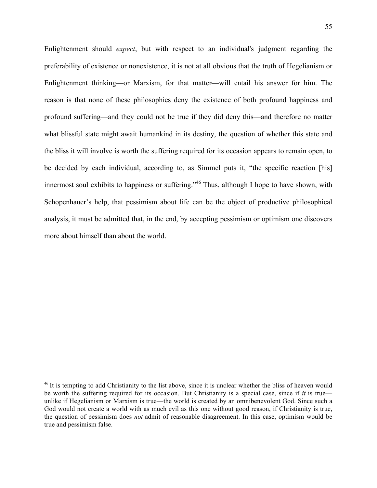Enlightenment should *expect*, but with respect to an individual's judgment regarding the preferability of existence or nonexistence, it is not at all obvious that the truth of Hegelianism or Enlightenment thinking—or Marxism, for that matter—will entail his answer for him. The reason is that none of these philosophies deny the existence of both profound happiness and profound suffering—and they could not be true if they did deny this—and therefore no matter what blissful state might await humankind in its destiny, the question of whether this state and the bliss it will involve is worth the suffering required for its occasion appears to remain open, to be decided by each individual, according to, as Simmel puts it, "the specific reaction [his] innermost soul exhibits to happiness or suffering."<sup>46</sup> Thus, although I hope to have shown, with Schopenhauer's help, that pessimism about life can be the object of productive philosophical analysis, it must be admitted that, in the end, by accepting pessimism or optimism one discovers more about himself than about the world.

<sup>&</sup>lt;sup>46</sup> It is tempting to add Christianity to the list above, since it is unclear whether the bliss of heaven would be worth the suffering required for its occasion. But Christianity is a special case, since if *it* is true unlike if Hegelianism or Marxism is true—the world is created by an omnibenevolent God. Since such a God would not create a world with as much evil as this one without good reason, if Christianity is true, the question of pessimism does *not* admit of reasonable disagreement. In this case, optimism would be true and pessimism false.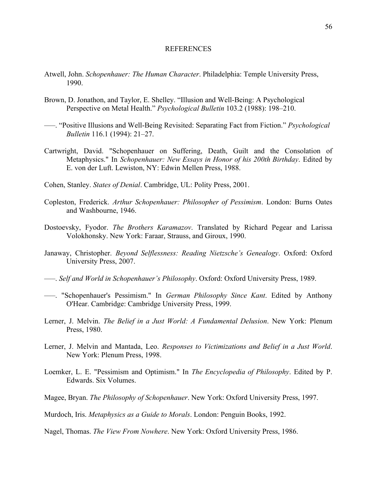### REFERENCES

- Atwell, John. *Schopenhauer: The Human Character*. Philadelphia: Temple University Press, 1990.
- Brown, D. Jonathon, and Taylor, E. Shelley. "Illusion and Well-Being: A Psychological Perspective on Metal Health." *Psychological Bulletin* 103.2 (1988): 198–210.
- –––. "Positive Illusions and Well-Being Revisited: Separating Fact from Fiction." *Psychological Bulletin* 116.1 (1994): 21–27.
- Cartwright, David. "Schopenhauer on Suffering, Death, Guilt and the Consolation of Metaphysics." In *Schopenhauer: New Essays in Honor of his 200th Birthday*. Edited by E. von der Luft. Lewiston, NY: Edwin Mellen Press, 1988.
- Cohen, Stanley. *States of Denial*. Cambridge, UL: Polity Press, 2001.
- Copleston, Frederick. *Arthur Schopenhauer: Philosopher of Pessimism*. London: Burns Oates and Washbourne, 1946.
- Dostoevsky, Fyodor. *The Brothers Karamazov*. Translated by Richard Pegear and Larissa Volokhonsky. New York: Faraar, Strauss, and Giroux, 1990.
- Janaway, Christopher. *Beyond Selflessness: Reading Nietzsche's Genealogy*. Oxford: Oxford University Press, 2007.
- –––. *Self and World in Schopenhauer's Philosophy*. Oxford: Oxford University Press, 1989.
- –––. "Schopenhauer's Pessimism." In *German Philosophy Since Kant*. Edited by Anthony O'Hear. Cambridge: Cambridge University Press, 1999.
- Lerner, J. Melvin. *The Belief in a Just World: A Fundamental Delusion*. New York: Plenum Press, 1980.
- Lerner, J. Melvin and Mantada, Leo. *Responses to Victimizations and Belief in a Just World*. New York: Plenum Press, 1998.
- Loemker, L. E. "Pessimism and Optimism." In *The Encyclopedia of Philosophy*. Edited by P. Edwards. Six Volumes.
- Magee, Bryan. *The Philosophy of Schopenhauer*. New York: Oxford University Press, 1997.
- Murdoch, Iris. *Metaphysics as a Guide to Morals*. London: Penguin Books, 1992.
- Nagel, Thomas. *The View From Nowhere*. New York: Oxford University Press, 1986.